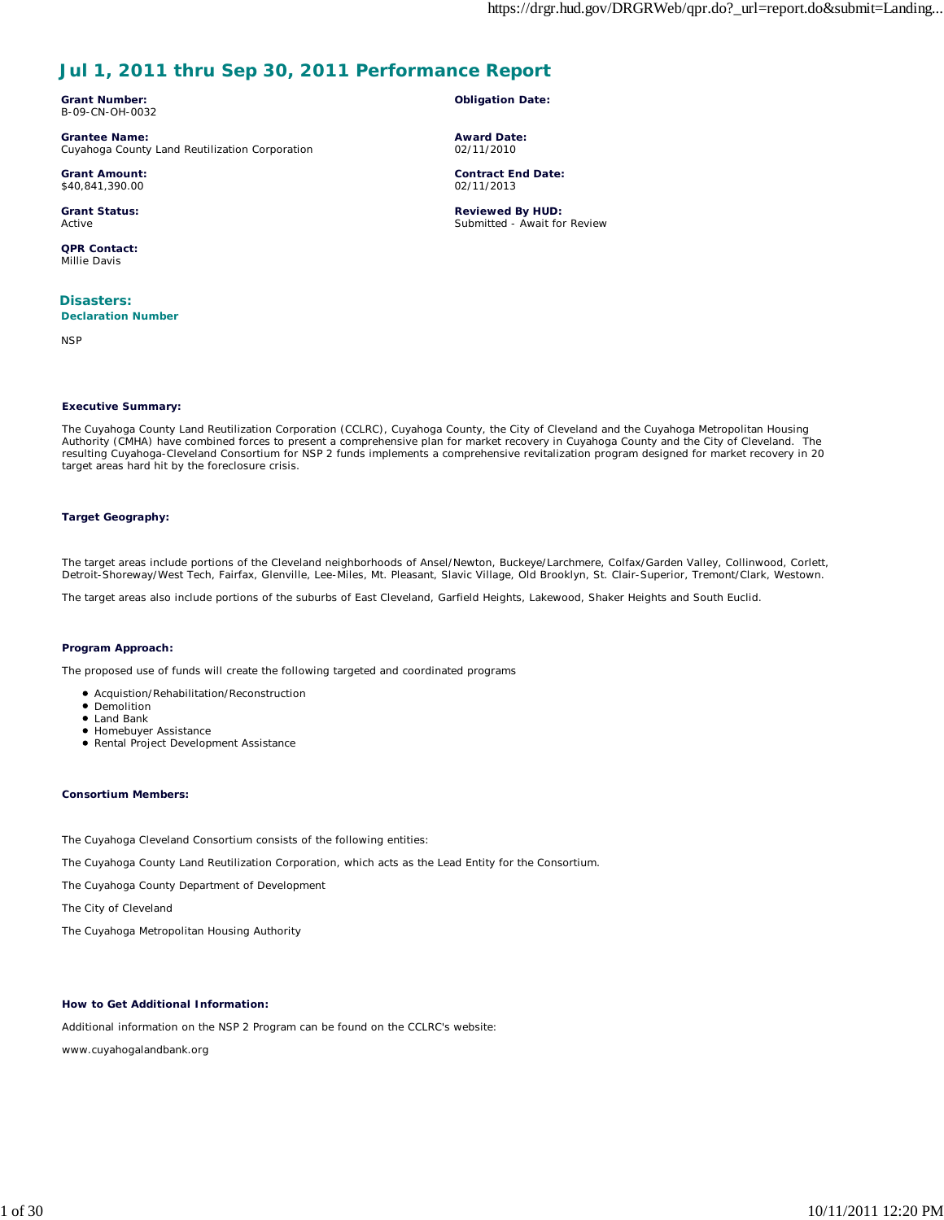# **Jul 1, 2011 thru Sep 30, 2011 Performance Report**

**Grant Number:** B-09-CN-OH-0032

**Grantee Name:** Cuyahoga County Land Reutilization Corporation

**Grant Amount:** \$40,841,390.00

**Grant Status:** Active

**QPR Contact:** Millie Davis

**Disasters: Declaration Number**

**NSP** 

#### **Executive Summary:**

The Cuyahoga County Land Reutilization Corporation (CCLRC), Cuyahoga County, the City of Cleveland and the Cuyahoga Metropolitan Housing Authority (CMHA) have combined forces to present a comprehensive plan for market recovery in Cuyahoga County and the City of Cleveland. The resulting Cuyahoga-Cleveland Consortium for NSP 2 funds implements a comprehensive revitalization program designed for market recovery in 20 target areas hard hit by the foreclosure crisis.

#### **Target Geography:**

The target areas include portions of the Cleveland neighborhoods of Ansel/Newton, Buckeye/Larchmere, Colfax/Garden Valley, Collinwood, Corlett, Detroit-Shoreway/West Tech, Fairfax, Glenville, Lee-Miles, Mt. Pleasant, Slavic Village, Old Brooklyn, St. Clair-Superior, Tremont/Clark, Westown.

The target areas also include portions of the suburbs of East Cleveland, Garfield Heights, Lakewood, Shaker Heights and South Euclid.

#### **Program Approach:**

The proposed use of funds will create the following targeted and coordinated programs

- Acquistion/Rehabilitation/Reconstruction
- Demolition
- Land Bank
- Homebuyer Assistance
- **Rental Project Development Assistance**

#### **Consortium Members:**

The Cuyahoga Cleveland Consortium consists of the following entities:

The Cuyahoga County Land Reutilization Corporation, which acts as the Lead Entity for the Consortium.

The Cuyahoga County Department of Development

The City of Cleveland

The Cuyahoga Metropolitan Housing Authority

#### **How to Get Additional Information:**

Additional information on the NSP 2 Program can be found on the CCLRC's website:

www.cuyahogalandbank.org

#### **Obligation Date:**

**Award Date:** 02/11/2010

**Contract End Date:** 02/11/2013

**Reviewed By HUD:** Submitted - Await for Review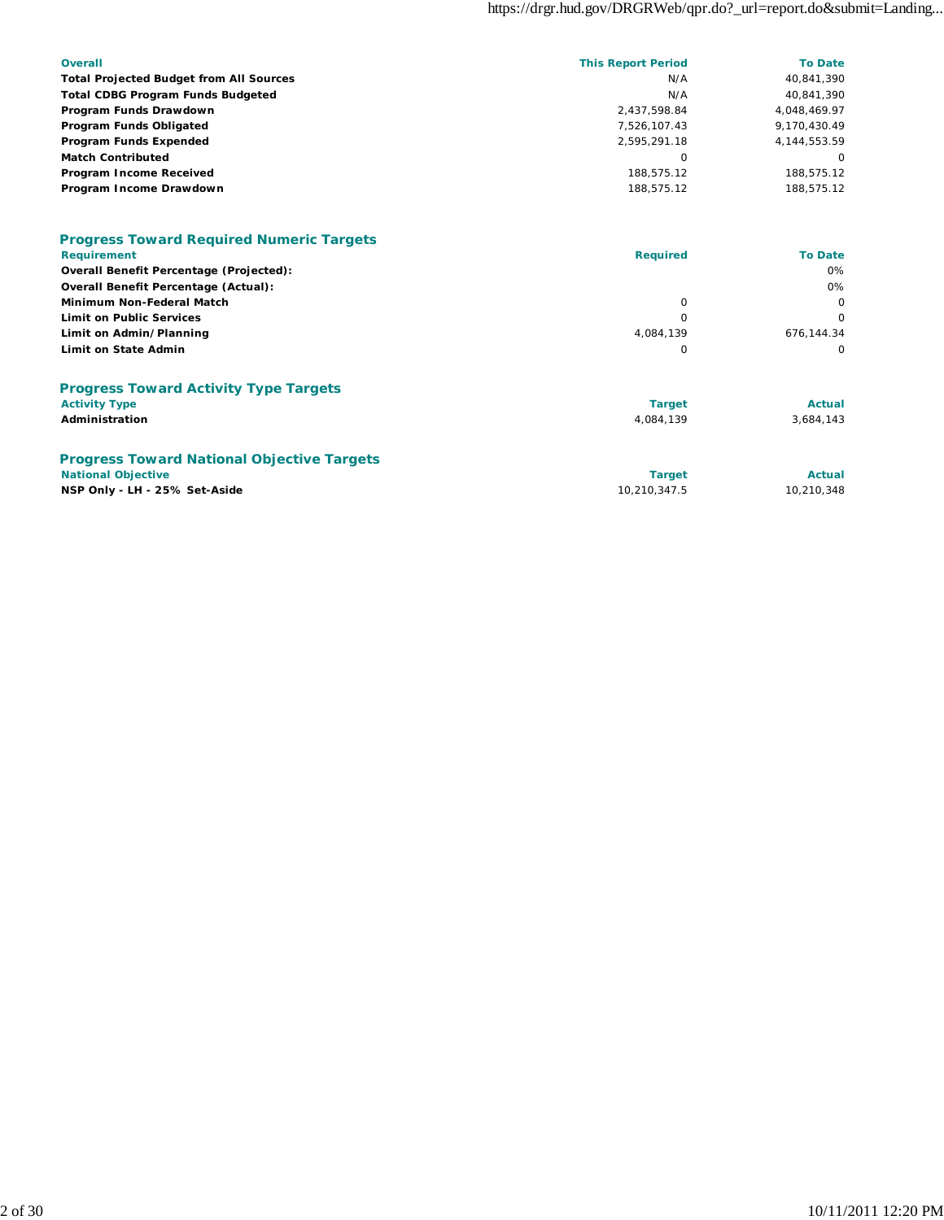| <b>Overall</b>                                 | <b>This Report Period</b> | <b>To Date</b> |
|------------------------------------------------|---------------------------|----------------|
| <b>Total Projected Budget from All Sources</b> | N/A                       | 40.841.390     |
| <b>Total CDBG Program Funds Budgeted</b>       | N/A                       | 40.841.390     |
| Program Funds Drawdown                         | 2,437,598.84              | 4.048.469.97   |
| Program Funds Obligated                        | 7.526.107.43              | 9.170.430.49   |
| Program Funds Expended                         | 2.595.291.18              | 4.144.553.59   |
| <b>Match Contributed</b>                       |                           | $\Omega$       |
| Program Income Received                        | 188.575.12                | 188.575.12     |
| Program Income Drawdown                        | 188.575.12                | 188.575.12     |

# **Progress Toward Required Numeric Targets**

| <b>Progress Toward Required Numeric Targets</b> |                 |                |
|-------------------------------------------------|-----------------|----------------|
| <b>Requirement</b>                              | <b>Required</b> | <b>To Date</b> |
| Overall Benefit Percentage (Projected):         |                 | 0%             |
| Overall Benefit Percentage (Actual):            |                 | 0%             |
| Minimum Non-Federal Match                       |                 | <sup>o</sup>   |
| <b>Limit on Public Services</b>                 |                 |                |
| Limit on Admin/Planning                         | 4.084.139       | 676.144.34     |
| Limit on State Admin                            |                 |                |
|                                                 |                 |                |

# **Progress Toward Activity Type Targets**

| <b>Target</b> | Actual    |
|---------------|-----------|
| 4.084.139     | 3.684.143 |
|               |           |
|               |           |
|               |           |

| <b>National Objective</b>     | Target       | Actual     |
|-------------------------------|--------------|------------|
| NSP Only - LH - 25% Set-Aside | 10.210.347.5 | 10,210,348 |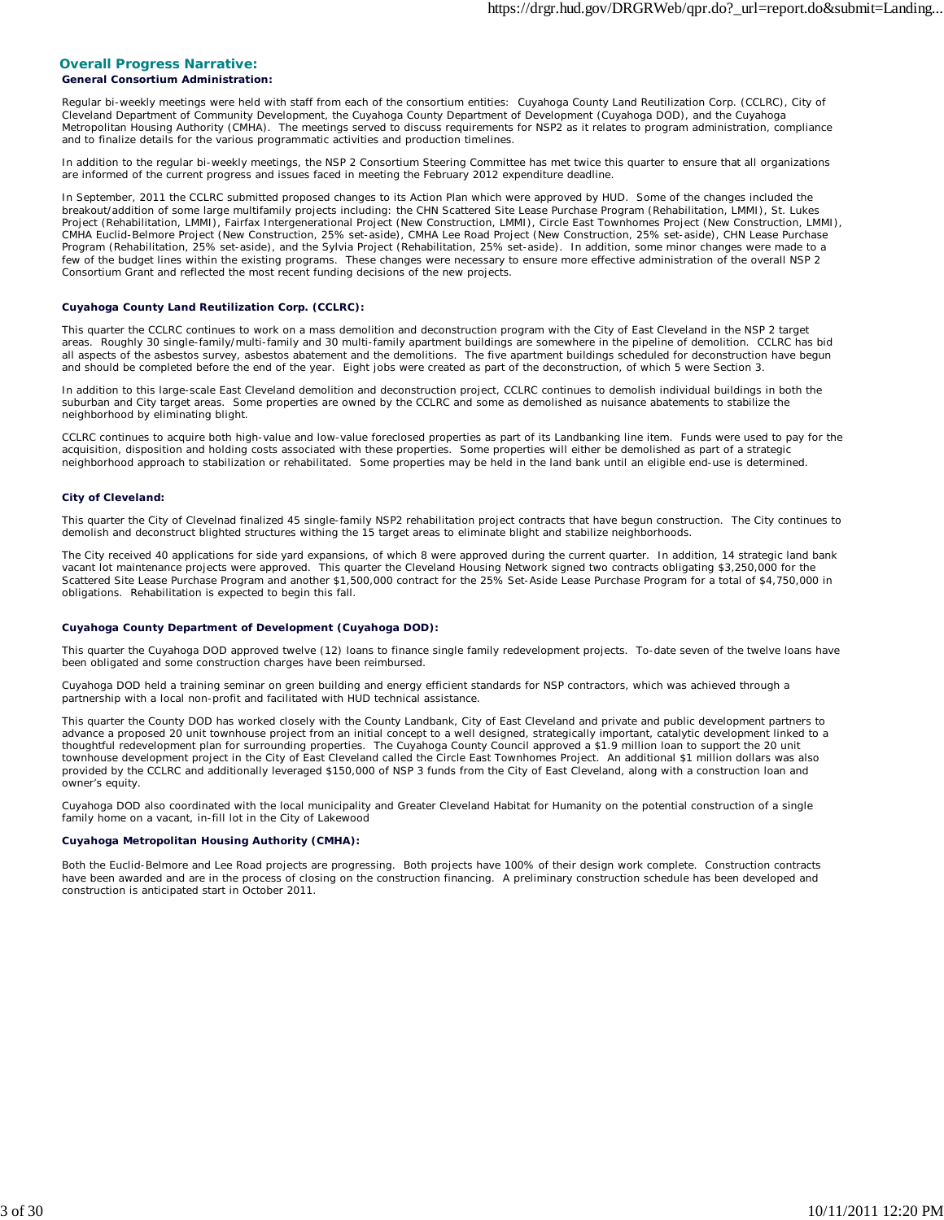#### **Overall Progress Narrative: General Consortium Administration:**

Regular bi-weekly meetings were held with staff from each of the consortium entities: Cuyahoga County Land Reutilization Corp. (CCLRC), City of Cleveland Department of Community Development, the Cuyahoga County Department of Development (Cuyahoga DOD), and the Cuyahoga Metropolitan Housing Authority (CMHA). The meetings served to discuss requirements for NSP2 as it relates to program administration, compliance and to finalize details for the various programmatic activities and production timelines.

In addition to the regular bi-weekly meetings, the NSP 2 Consortium Steering Committee has met twice this quarter to ensure that all organizations are informed of the current progress and issues faced in meeting the February 2012 expenditure deadline.

In September, 2011 the CCLRC submitted proposed changes to its Action Plan which were approved by HUD. Some of the changes included the breakout/addition of some large multifamily projects including: the CHN Scattered Site Lease Purchase Program (Rehabilitation, LMMI), St. Lukes Project (Rehabilitation, LMMI), Fairfax Intergenerational Project (New Construction, LMMI), Circle East Townhomes Project (New Construction, LMMI), CMHA Euclid-Belmore Project (New Construction, 25% set-aside), CMHA Lee Road Project (New Construction, 25% set-aside), CHN Lease Purchase Program (Rehabilitation, 25% set-aside), and the Sylvia Project (Rehabilitation, 25% set-aside). In addition, some minor changes were made to a few of the budget lines within the existing programs. These changes were necessary to ensure more effective administration of the overall NSP 2 Consortium Grant and reflected the most recent funding decisions of the new projects.

#### **Cuyahoga County Land Reutilization Corp. (CCLRC):**

This quarter the CCLRC continues to work on a mass demolition and deconstruction program with the City of East Cleveland in the NSP 2 target areas. Roughly 30 single-family/multi-family and 30 multi-family apartment buildings are somewhere in the pipeline of demolition. CCLRC has bid all aspects of the asbestos survey, asbestos abatement and the demolitions. The five apartment buildings scheduled for deconstruction have begun and should be completed before the end of the year. Eight jobs were created as part of the deconstruction, of which 5 were Section 3.

In addition to this large-scale East Cleveland demolition and deconstruction project, CCLRC continues to demolish individual buildings in both the suburban and City target areas. Some properties are owned by the CCLRC and some as demolished as nuisance abatements to stabilize the neighborhood by eliminating blight.

CCLRC continues to acquire both high-value and low-value foreclosed properties as part of its Landbanking line item. Funds were used to pay for the acquisition, disposition and holding costs associated with these properties. Some properties will either be demolished as part of a strategic neighborhood approach to stabilization or rehabilitated. Some properties may be held in the land bank until an eligible end-use is determined.

#### **City of Cleveland:**

This quarter the City of Clevelnad finalized 45 single-family NSP2 rehabilitation project contracts that have begun construction. The City continues to demolish and deconstruct blighted structures withing the 15 target areas to eliminate blight and stabilize neighborhoods.

The City received 40 applications for side yard expansions, of which 8 were approved during the current quarter. In addition, 14 strategic land bank vacant lot maintenance projects were approved. This quarter the Cleveland Housing Network signed two contracts obligating \$3,250,000 for the Scattered Site Lease Purchase Program and another \$1,500,000 contract for the 25% Set-Aside Lease Purchase Program for a total of \$4,750,000 in obligations. Rehabilitation is expected to begin this fall.

#### **Cuyahoga County Department of Development (Cuyahoga DOD):**

This quarter the Cuyahoga DOD approved twelve (12) loans to finance single family redevelopment projects. To-date seven of the twelve loans have been obligated and some construction charges have been reimbursed.

Cuyahoga DOD held a training seminar on green building and energy efficient standards for NSP contractors, which was achieved through a partnership with a local non-profit and facilitated with HUD technical assistance.

This quarter the County DOD has worked closely with the County Landbank, City of East Cleveland and private and public development partners to advance a proposed 20 unit townhouse project from an initial concept to a well designed, strategically important, catalytic development linked to a thoughtful redevelopment plan for surrounding properties. The Cuyahoga County Council approved a \$1.9 million loan to support the 20 unit townhouse development project in the City of East Cleveland called the Circle East Townhomes Project. An additional \$1 million dollars was also provided by the CCLRC and additionally leveraged \$150,000 of NSP 3 funds from the City of East Cleveland, along with a construction loan and owner's equity.

Cuyahoga DOD also coordinated with the local municipality and Greater Cleveland Habitat for Humanity on the potential construction of a single family home on a vacant, in-fill lot in the City of Lakewood

#### **Cuyahoga Metropolitan Housing Authority (CMHA):**

Both the Euclid-Belmore and Lee Road projects are progressing. Both projects have 100% of their design work complete. Construction contracts have been awarded and are in the process of closing on the construction financing. A preliminary construction schedule has been developed and construction is anticipated start in October 2011.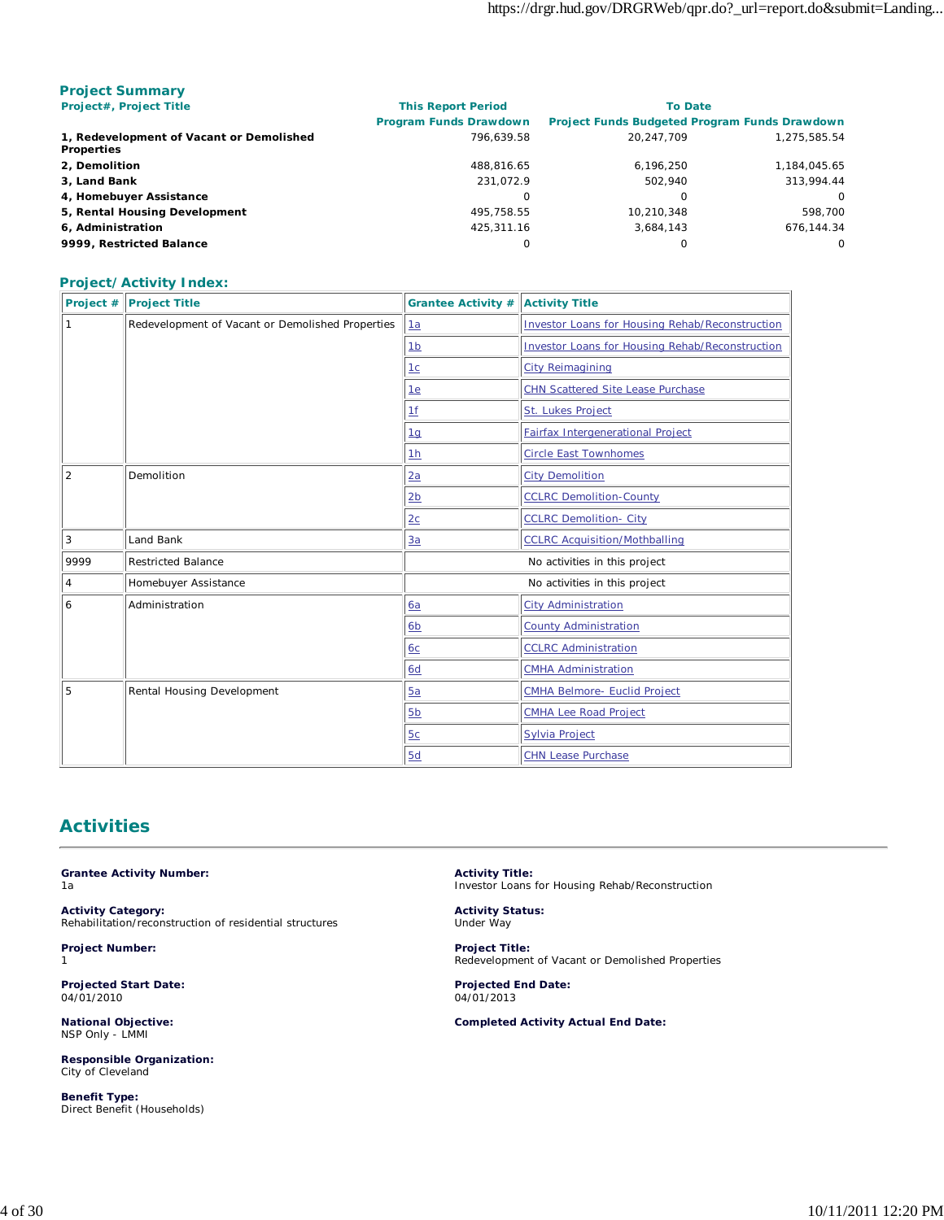# **Project Summary**

| Project#, Project Title                                | <b>This Report Period</b>     | <b>To Date</b>                                       |              |
|--------------------------------------------------------|-------------------------------|------------------------------------------------------|--------------|
|                                                        | <b>Program Funds Drawdown</b> | <b>Project Funds Budgeted Program Funds Drawdown</b> |              |
| 1, Redevelopment of Vacant or Demolished<br>Properties | 796.639.58                    | 20.247.709                                           | 1.275.585.54 |
| 2, Demolition                                          | 488.816.65                    | 6.196.250                                            | 1.184.045.65 |
| 3, Land Bank                                           | 231,072.9                     | 502.940                                              | 313.994.44   |
| 4, Homebuyer Assistance                                |                               |                                                      | $\Omega$     |
| 5, Rental Housing Development                          | 495.758.55                    | 10.210.348                                           | 598.700      |
| 6. Administration                                      | 425.311.16                    | 3.684.143                                            | 676.144.34   |
| 9999, Restricted Balance                               | 0                             |                                                      | $\Omega$     |

#### **Project/Activity Index:**

| Project #      | <b>Project Title</b>                             | <b>Grantee Activity #</b> | <b>Activity Title</b>                                  |
|----------------|--------------------------------------------------|---------------------------|--------------------------------------------------------|
|                | Redevelopment of Vacant or Demolished Properties | 1a                        | Investor Loans for Housing Rehab/Reconstruction        |
|                |                                                  | 1 <sub>b</sub>            | <b>Investor Loans for Housing Rehab/Reconstruction</b> |
|                |                                                  | 1c                        | <b>City Reimagining</b>                                |
|                |                                                  | 1e                        | <b>CHN Scattered Site Lease Purchase</b>               |
|                |                                                  | 1f                        | St. Lukes Project                                      |
|                |                                                  | 1 <sub>g</sub>            | <b>Fairfax Intergenerational Project</b>               |
|                |                                                  | 1 <sub>h</sub>            | <b>Circle East Townhomes</b>                           |
| $\overline{2}$ | Demolition                                       | 2a                        | <b>City Demolition</b>                                 |
|                |                                                  | 2 <sub>b</sub>            | <b>CCLRC Demolition-County</b>                         |
|                |                                                  | 2c                        | <b>CCLRC Demolition- City</b>                          |
| 3              | Land Bank                                        | 3a                        | <b>CCLRC Acquisition/Mothballing</b>                   |
| 9999           | <b>Restricted Balance</b>                        |                           | No activities in this project                          |
| 4              | Homebuyer Assistance                             |                           | No activities in this project                          |
| 6              | Administration                                   | 6a                        | <b>City Administration</b>                             |
|                |                                                  | 6 <sub>b</sub>            | <b>County Administration</b>                           |
|                |                                                  | 6 <sub>c</sub>            | <b>CCLRC Administration</b>                            |
|                |                                                  | 6d                        | <b>CMHA Administration</b>                             |
| 5              | Rental Housing Development                       | 5a                        | <b>CMHA Belmore- Euclid Project</b>                    |
|                |                                                  | 5b                        | <b>CMHA Lee Road Project</b>                           |
|                |                                                  | 5c                        | <b>Sylvia Project</b>                                  |
|                |                                                  | 5d                        | <b>CHN Lease Purchase</b>                              |

# **Activities**

**Grantee Activity Number:** 1a

**Activity Category:** Rehabilitation/reconstruction of residential structures

**Project Number:** 1

**Projected Start Date:** 04/01/2010

**National Objective:** NSP Only - LMMI

**Responsible Organization:** City of Cleveland

**Benefit Type:** Direct Benefit (Households)

**Activity Title:** Investor Loans for Housing Rehab/Reconstruction

**Activity Status:** Under Way

**Project Title:** Redevelopment of Vacant or Demolished Properties

**Projected End Date:** 04/01/2013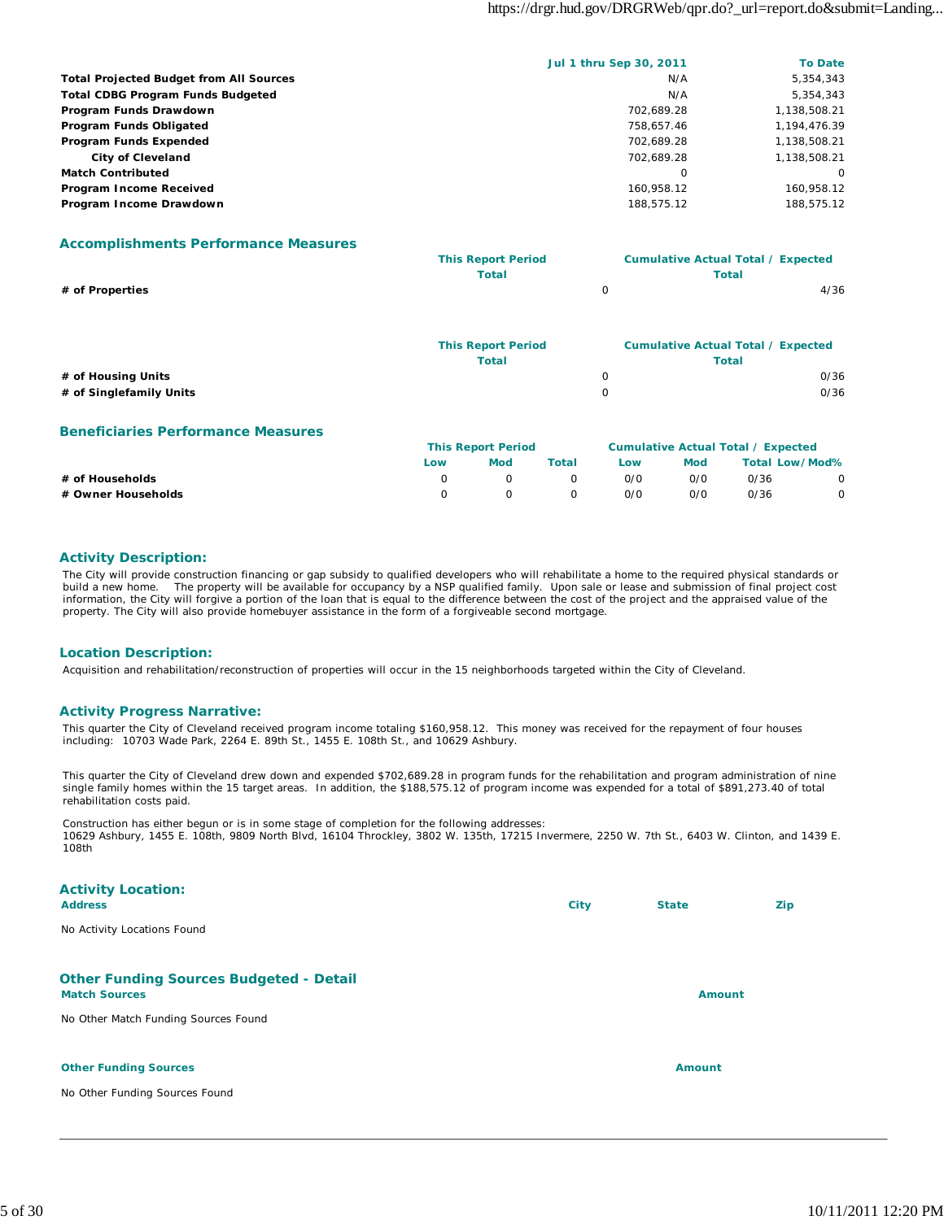|                                                | Jul 1 thru Sep 30, 2011 | <b>To Date</b> |
|------------------------------------------------|-------------------------|----------------|
| <b>Total Projected Budget from All Sources</b> | N/A                     | 5,354,343      |
| <b>Total CDBG Program Funds Budgeted</b>       | N/A                     | 5,354,343      |
| Program Funds Drawdown                         | 702.689.28              | 1,138,508.21   |
| Program Funds Obligated                        | 758,657.46              | 1.194.476.39   |
| Program Funds Expended                         | 702,689.28              | 1,138,508.21   |
| City of Cleveland                              | 702,689.28              | 1,138,508.21   |
| <b>Match Contributed</b>                       | $\Omega$                | $\Omega$       |
| Program Income Received                        | 160.958.12              | 160.958.12     |
| Program Income Drawdown                        | 188.575.12              | 188.575.12     |

|                 | <b>This Report Period</b> |              | <b>Cumulative Actual Total / Expected</b> |      |
|-----------------|---------------------------|--------------|-------------------------------------------|------|
|                 | <b>Total</b>              |              | <b>Total</b>                              |      |
| # of Properties |                           | <sup>o</sup> |                                           | 4/36 |
|                 |                           |              |                                           |      |

|                         | <b>This Report Period</b> | Cumulative Actual Total / Expected |
|-------------------------|---------------------------|------------------------------------|
|                         | Total                     | Total                              |
| # of Housing Units      |                           | 0/36                               |
| # of Singlefamily Units |                           | 0/36                               |

#### **Beneficiaries Performance Measures**

|                    | <b>This Report Period</b> |     | <b>Cumulative Actual Total / Expected</b> |     |     |                       |         |
|--------------------|---------------------------|-----|-------------------------------------------|-----|-----|-----------------------|---------|
|                    | Low                       | Mod | Total                                     | Low | Mod | <b>Total Low/Mod%</b> |         |
| # of Households    |                           |     |                                           | 0/0 | 0/0 | 0/36                  | $\circ$ |
| # Owner Households |                           |     |                                           | 0/0 | 0/0 | 0/36                  |         |

#### **Activity Description:**

The City will provide construction financing or gap subsidy to qualified developers who will rehabilitate a home to the required physical standards or build a new home. The property will be available for occupancy by a NSP qualified family. Upon sale or lease and submission of final project cost information, the City will forgive a portion of the loan that is equal to the difference between the cost of the project and the appraised value of the property. The City will also provide homebuyer assistance in the form of a forgiveable second mortgage.

#### **Location Description:**

Acquisition and rehabilitation/reconstruction of properties will occur in the 15 neighborhoods targeted within the City of Cleveland.

#### **Activity Progress Narrative:**

This quarter the City of Cleveland received program income totaling \$160,958.12. This money was received for the repayment of four houses including: 10703 Wade Park, 2264 E. 89th St., 1455 E. 108th St., and 10629 Ashbury.

This quarter the City of Cleveland drew down and expended \$702,689.28 in program funds for the rehabilitation and program administration of nine single family homes within the 15 target areas. In addition, the \$188,575.12 of program income was expended for a total of \$891,273.40 of total rehabilitation costs paid.

Construction has either begun or is in some stage of completion for the following addresses: 10629 Ashbury, 1455 E. 108th, 9809 North Blvd, 16104 Throckley, 3802 W. 135th, 17215 Invermere, 2250 W. 7th St., 6403 W. Clinton, and 1439 E. 108th

| <b>Activity Location:</b><br><b>Address</b>                            | City          | <b>State</b>  | Zip |
|------------------------------------------------------------------------|---------------|---------------|-----|
| No Activity Locations Found                                            |               |               |     |
| <b>Other Funding Sources Budgeted - Detail</b><br><b>Match Sources</b> |               | <b>Amount</b> |     |
| No Other Match Funding Sources Found                                   |               |               |     |
| <b>Other Funding Sources</b><br>No Other Funding Sources Found         | <b>Amount</b> |               |     |
|                                                                        |               |               |     |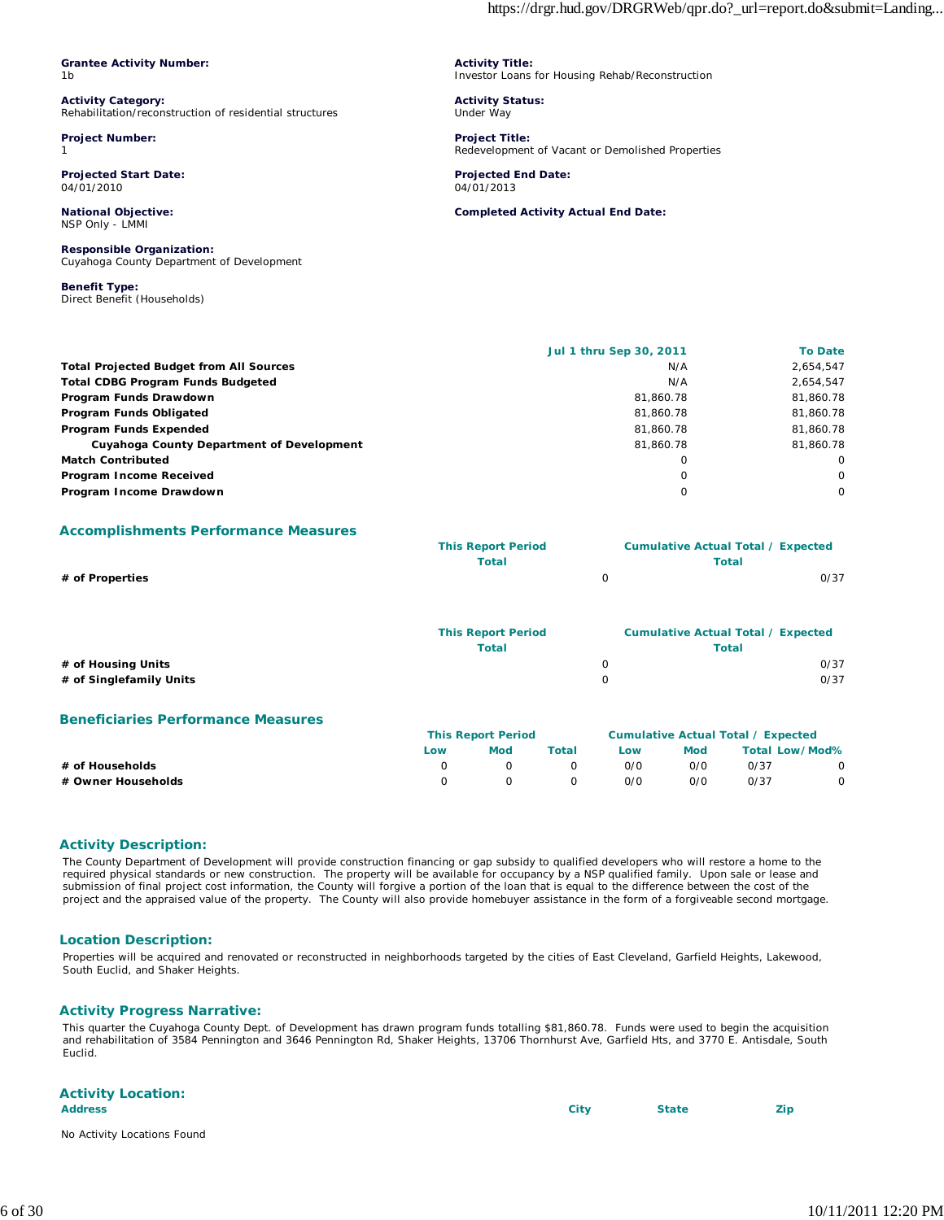https://drgr.hud.gov/DRGRWeb/qpr.do?\_url=report.do&submit=Landing...

| <b>Grantee Activity Number:</b>                         | <b>Activity Title:</b>                                                    |
|---------------------------------------------------------|---------------------------------------------------------------------------|
| 1b                                                      | Investor Loans for Housing Rehab/Reconstruction                           |
| <b>Activity Category:</b>                               | <b>Activity Status:</b>                                                   |
| Rehabilitation/reconstruction of residential structures | Under Wav                                                                 |
| <b>Project Number:</b>                                  | <b>Project Title:</b><br>Redevelopment of Vacant or Demolished Properties |
| <b>Projected Start Date:</b>                            | <b>Projected End Date:</b>                                                |
| 04/01/2010                                              | 04/01/2013                                                                |
| <b>National Objective:</b><br>NSP Only - LMMI           | <b>Completed Activity Actual End Date:</b>                                |

**Jul 1 thru Sep 30, 2011 To Date Total Projected Budget from All Sources** N/A 2,654,547 **Total CDBG Program Funds Budgeted CDBG Program Funds Budgeted CDBG Program Funds Budgeted** N/A 2,654,547 **Program Funds Drawdown** 81,860.78 81,860.78 **Program Funds Obligated** 81,860.78 81,860.78 **Program Funds Expended** 81,860.78 81,860.78 81,860.78  **Cuyahoga County Department of Development** 81,860.78 81,860.78 **Match Contributed** 0 0 **Program Income Received** 0 0 **Program Income Drawdown** 0 0

#### **Accomplishments Performance Measures**

|                 | <b>This Report Period</b> | <b>Cumulative Actual Total / Expected</b> |      |
|-----------------|---------------------------|-------------------------------------------|------|
|                 | <b>Total</b>              | Total                                     |      |
| # of Properties |                           |                                           | 0/37 |

|                         | <b>This Report Period</b> | <b>Cumulative Actual Total / Expected</b> |      |  |
|-------------------------|---------------------------|-------------------------------------------|------|--|
|                         | Total                     | Total                                     |      |  |
| # of Housing Units      |                           |                                           | 0/37 |  |
| # of Singlefamily Units |                           |                                           | 0/37 |  |

#### **Beneficiaries Performance Measures**

|                    | <b>This Report Period</b> |     |       | <b>Cumulative Actual Total / Expected</b> |     |                       |  |
|--------------------|---------------------------|-----|-------|-------------------------------------------|-----|-----------------------|--|
|                    | Low                       | Mod | Total | Low                                       | Mod | <b>Total Low/Mod%</b> |  |
| # of Households    |                           |     |       | 0/0                                       | 0/0 | 0/37                  |  |
| # Owner Households |                           |     |       | 0/0                                       | 0/0 | 0/37                  |  |

#### **Activity Description:**

**Responsible Organization:**

Direct Benefit (Households)

**Benefit Type:**

Cuyahoga County Department of Development

The County Department of Development will provide construction financing or gap subsidy to qualified developers who will restore a home to the required physical standards or new construction. The property will be available for occupancy by a NSP qualified family. Upon sale or lease and submission of final project cost information, the County will forgive a portion of the loan that is equal to the difference between the cost of the project and the appraised value of the property. The County will also provide homebuyer assistance in the form of a forgiveable second mortgage.

#### **Location Description:**

Properties will be acquired and renovated or reconstructed in neighborhoods targeted by the cities of East Cleveland, Garfield Heights, Lakewood, South Euclid, and Shaker Heights.

#### **Activity Progress Narrative:**

This quarter the Cuyahoga County Dept. of Development has drawn program funds totalling \$81,860.78. Funds were used to begin the acquisition and rehabilitation of 3584 Pennington and 3646 Pennington Rd, Shaker Heights, 13706 Thornhurst Ave, Garfield Hts, and 3770 E. Antisdale, South Euclid.

# **Activity Location:**

**Address City State Zip**

No Activity Locations Found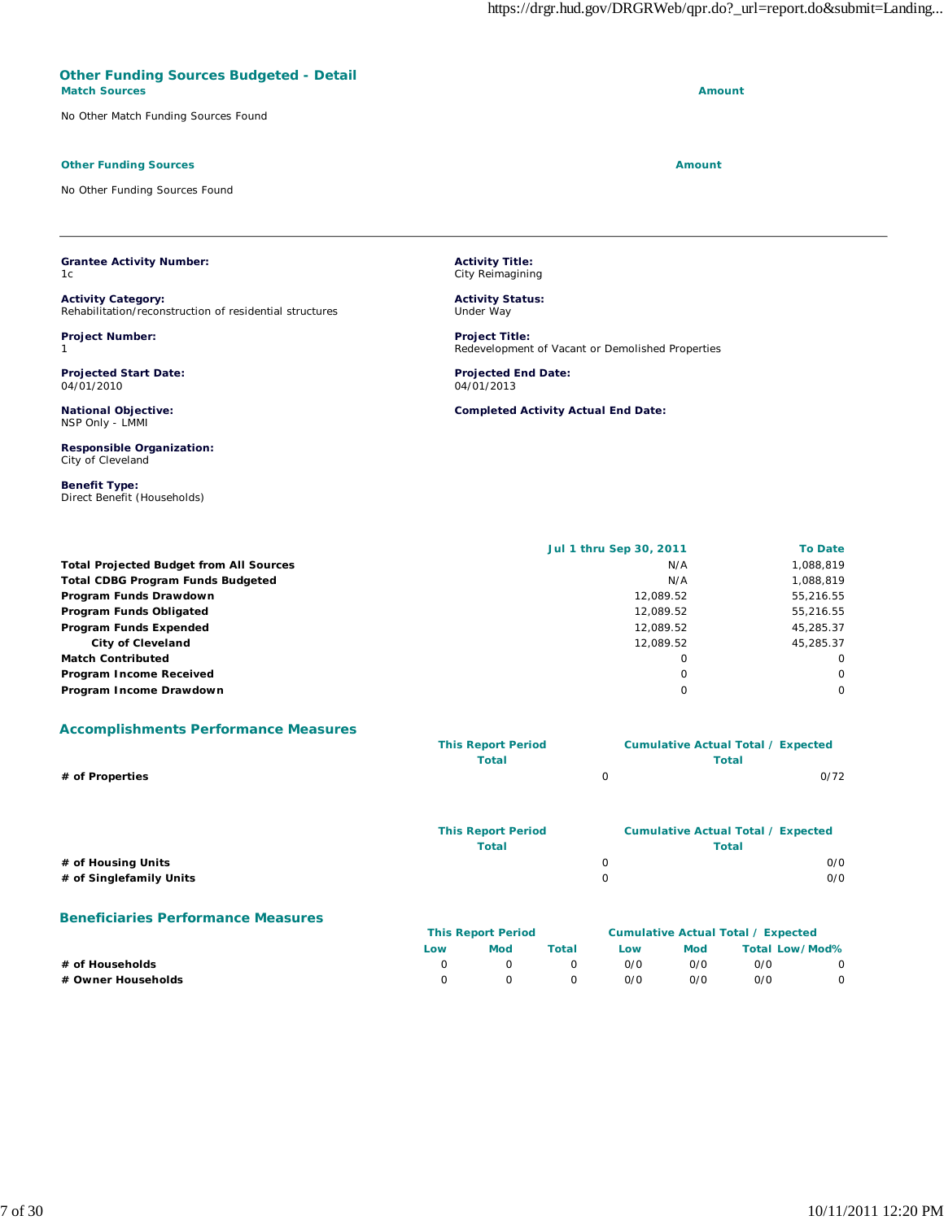# **Other Funding Sources Budgeted - Detail**

Rehabilitation/reconstruction of residential structures

**Match Sources Amount** 

No Other Match Funding Sources Found

#### **Other Funding Sources Amount Amount Amount Amount**

**Grantee Activity Number:**

**Activity Category:**

**Project Number:**

04/01/2010

**Projected Start Date:**

**National Objective:** NSP Only - LMMI

City of Cleveland **Benefit Type:**

**Responsible Organization:**

Direct Benefit (Households)

1c

1

No Other Funding Sources Found

**Activity Title:** City Reimagining

**Activity Status:** Under Way

**Project Title:** Redevelopment of Vacant or Demolished Properties

**Projected End Date:** 04/01/2013

**Completed Activity Actual End Date:**

|                                                | Jul 1 thru Sep 30, 2011 | <b>To Date</b> |
|------------------------------------------------|-------------------------|----------------|
| <b>Total Projected Budget from All Sources</b> | N/A                     | 1,088,819      |
| <b>Total CDBG Program Funds Budgeted</b>       | N/A                     | 1.088.819      |
| Program Funds Drawdown                         | 12.089.52               | 55,216.55      |
| Program Funds Obligated                        | 12.089.52               | 55,216.55      |
| Program Funds Expended                         | 12.089.52               | 45,285.37      |
| City of Cleveland                              | 12,089.52               | 45.285.37      |
| <b>Match Contributed</b>                       | 0                       | Ω              |
| Program Income Received                        | 0                       | 0              |
| Program Income Drawdown                        | 0                       | 0              |

#### **Accomplishments Performance Measures**

|                 | <b>This Report Period</b> | <b>Cumulative Actual Total / Expected</b> |       |  |
|-----------------|---------------------------|-------------------------------------------|-------|--|
|                 | <b>Total</b>              |                                           | Total |  |
| # of Properties |                           |                                           | 0/72  |  |

|                         | <b>This Report Period</b> | Cumulative Actual Total / Expected |
|-------------------------|---------------------------|------------------------------------|
|                         | <b>Total</b>              | Total                              |
| # of Housing Units      |                           | 0/0                                |
| # of Singlefamily Units |                           | 0/0                                |

#### **Beneficiaries Performance Measures**

|                    | <b>This Report Period</b> |     |       | <b>Cumulative Actual Total / Expected</b> |     |                       |         |
|--------------------|---------------------------|-----|-------|-------------------------------------------|-----|-----------------------|---------|
|                    | LOW                       | Mod | Total | Low                                       | Mod | <b>Total Low/Mod%</b> |         |
| # of Households    |                           |     |       | 0/0                                       | 0/0 | O/O                   | $\circ$ |
| # Owner Households |                           | 0   |       | 0/0                                       | 0/0 | O/O                   | 0       |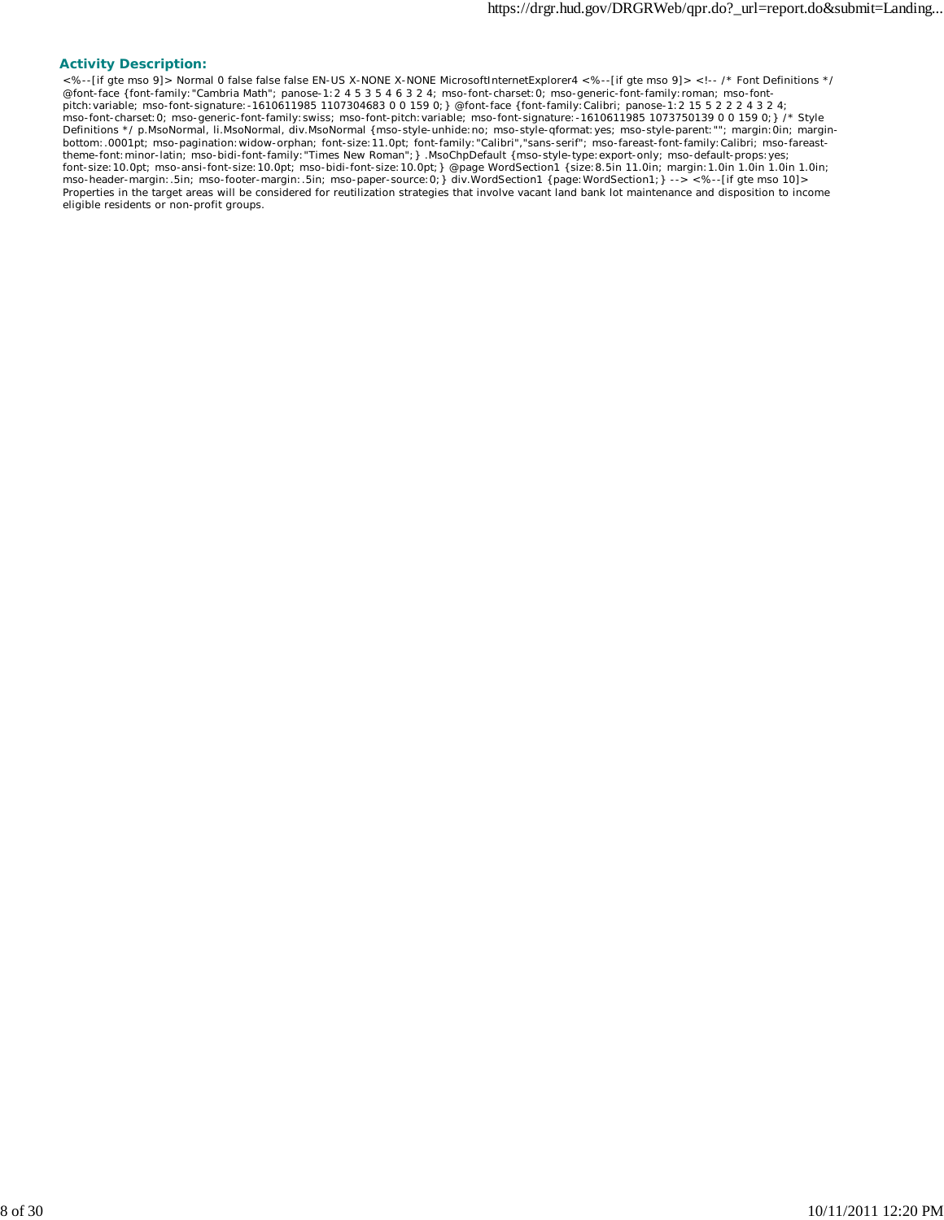#### **Activity Description:**

<%--[if gte mso 9]> Normal 0 false false false EN-US X-NONE X-NONE MicrosoftInternetExplorer4 <%--[if gte mso 9]> <!-- /\* Font Definitions \*/ @font-face {font-family:"Cambria Math"; panose-1:2 4 5 3 5 4 6 3 2 4; mso-font-charset:0; mso-generic-font-family:roman; mso-fontpitch: variable; mso-font-signature: -1610611985 1107304683 0 0 159 0; } @font-face {font-family: Calibri; panose-1:2 15 5 2 2 2 4 3 2 4; mso-font-charset:0; mso-generic-font-family:swiss; mso-font-pitch:variable; mso-font-signature:-1610611985 1073750139 0 0 159 0;} /\* Style Definitions \*/ p.MsoNormal, li.MsoNormal, div.MsoNormal {mso-style-unhide:no; mso-style-qformat:yes; mso-style-parent:""; margin:0in; marginbottom:.0001pt; mso-pagination:widow-orphan; font-size:11.0pt; font-family:"Calibri","sans-serif"; mso-fareast-font-family:Calibri; mso-fareasttheme-font:minor-latin; mso-bidi-font-family:"Times New Roman";} .MsoChpDefault {mso-style-type:export-only; mso-default-props:yes; font-size:10.0pt; mso-ansi-font-size:10.0pt; mso-bidi-font-size:10.0pt;} @page WordSection1 {size:8.5in 11.0in; margin:1.0in 1.0in 1.0in 1.0in; mso-header-margin:.5in; mso-footer-margin:.5in; mso-paper-source:0;} div.WordSection1 {page:WordSection1;} --> <%--[if gte mso 10]> Properties in the target areas will be considered for reutilization strategies that involve vacant land bank lot maintenance and disposition to income eligible residents or non-profit groups.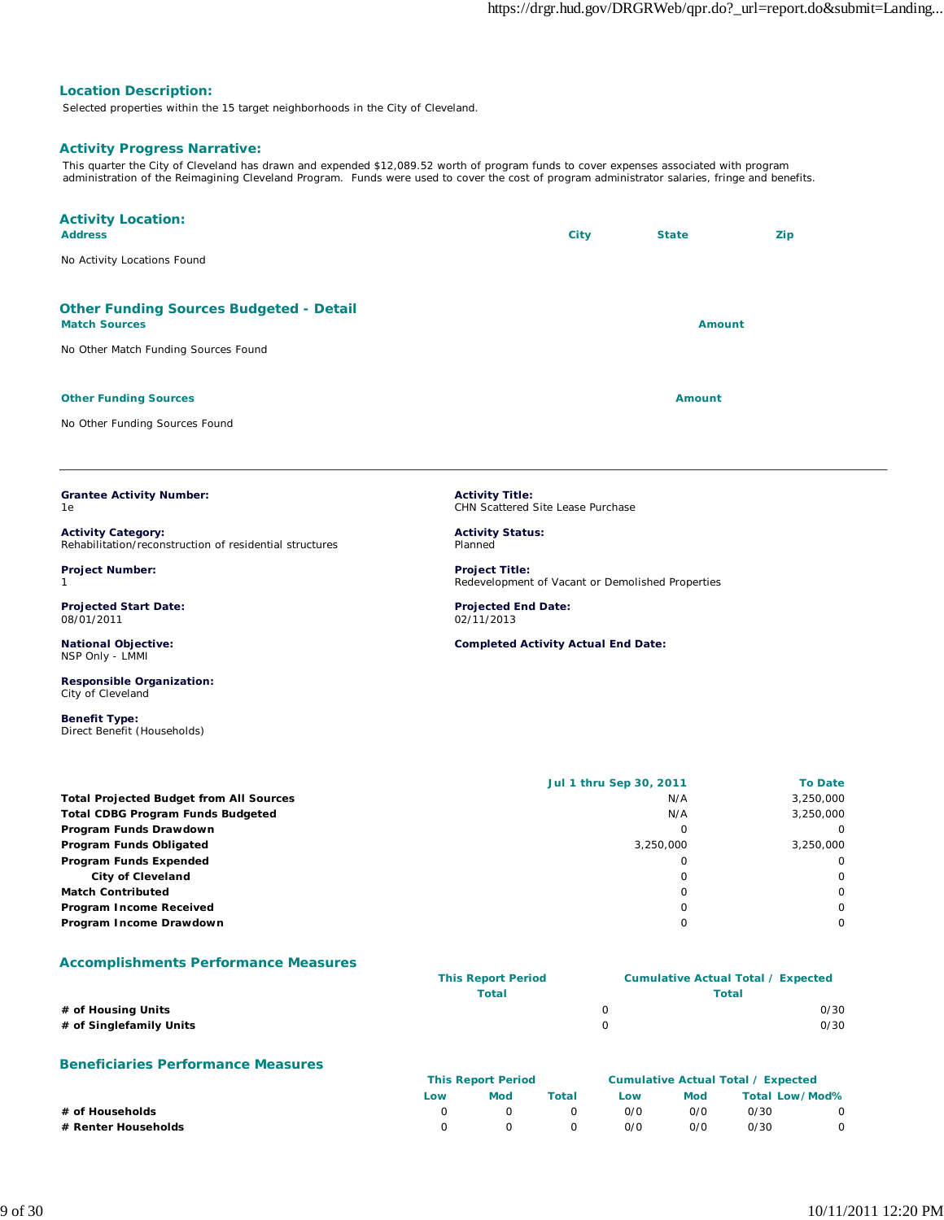# **Location Description:**

Selected properties within the 15 target neighborhoods in the City of Cleveland.

#### **Activity Progress Narrative:**

This quarter the City of Cleveland has drawn and expended \$12,089.52 worth of program funds to cover expenses associated with program administration of the Reimagining Cleveland Program. Funds were used to cover the cost of program administrator salaries, fringe and benefits.

| <b>Activity Location:</b><br><b>Address</b>                                                | City                                                                      | <b>State</b>               | Zip               |
|--------------------------------------------------------------------------------------------|---------------------------------------------------------------------------|----------------------------|-------------------|
| No Activity Locations Found                                                                |                                                                           |                            |                   |
| <b>Other Funding Sources Budgeted - Detail</b><br><b>Match Sources</b>                     |                                                                           | <b>Amount</b>              |                   |
| No Other Match Funding Sources Found                                                       |                                                                           |                            |                   |
| <b>Other Funding Sources</b>                                                               |                                                                           | <b>Amount</b>              |                   |
| No Other Funding Sources Found                                                             |                                                                           |                            |                   |
| <b>Grantee Activity Number:</b>                                                            | <b>Activity Title:</b>                                                    |                            |                   |
| 1e<br><b>Activity Category:</b><br>Rehabilitation/reconstruction of residential structures | CHN Scattered Site Lease Purchase<br><b>Activity Status:</b><br>Planned   |                            |                   |
| <b>Project Number:</b><br>$\mathbf{1}$                                                     | <b>Project Title:</b><br>Redevelopment of Vacant or Demolished Properties |                            |                   |
| <b>Projected Start Date:</b><br>08/01/2011                                                 | <b>Projected End Date:</b><br>02/11/2013                                  |                            |                   |
| <b>National Objective:</b><br>NSP Only - LMMI                                              | <b>Completed Activity Actual End Date:</b>                                |                            |                   |
| <b>Responsible Organization:</b><br>City of Cleveland                                      |                                                                           |                            |                   |
| <b>Benefit Type:</b><br>Direct Benefit (Households)                                        |                                                                           |                            |                   |
|                                                                                            | Jul 1 thru Sep 30, 2011                                                   |                            | <b>To Date</b>    |
| <b>Total Projected Budget from All Sources</b>                                             |                                                                           | N/A                        | 3,250,000         |
| <b>Total CDBG Program Funds Budgeted</b>                                                   |                                                                           | N/A                        | 3,250,000         |
| Program Funds Drawdown                                                                     |                                                                           | $\mathbf 0$                | 0                 |
| Program Funds Obligated                                                                    |                                                                           | 3,250,000                  | 3,250,000         |
| Program Funds Expended                                                                     |                                                                           | 0                          | $\Omega$          |
| <b>City of Cleveland</b>                                                                   |                                                                           | $\mathbf 0$                | $\Omega$          |
| <b>Match Contributed</b>                                                                   |                                                                           | $\mathbf 0$                | 0                 |
| Program Income Received<br>Program Income Drawdown                                         |                                                                           | $\mathbf 0$<br>$\mathbf 0$ | 0<br>$\mathbf{O}$ |
| <b>Accomplishments Performance Measures</b>                                                |                                                                           |                            |                   |

|                         | <b>This Report Period</b> | <b>Cumulative Actual Total / Expected</b> |       |  |
|-------------------------|---------------------------|-------------------------------------------|-------|--|
|                         | <b>Total</b>              |                                           | Total |  |
| # of Housing Units      |                           |                                           | 0/30  |  |
| # of Singlefamily Units |                           |                                           | 0/30  |  |
|                         |                           |                                           |       |  |

#### **Beneficiaries Performance Measures**

|                     |     | <b>This Report Period</b> |       |     | Cumulative Actual Total / Expected |      |                       |  |
|---------------------|-----|---------------------------|-------|-----|------------------------------------|------|-----------------------|--|
|                     | LOW | <b>Mod</b>                | Total | Low | <b>Mod</b>                         |      | <b>Total Low/Mod%</b> |  |
| # of Households     |     |                           |       | 0/0 | 0/0                                | 0/30 |                       |  |
| # Renter Households |     |                           |       | 0/0 | 0/0                                | 0/30 |                       |  |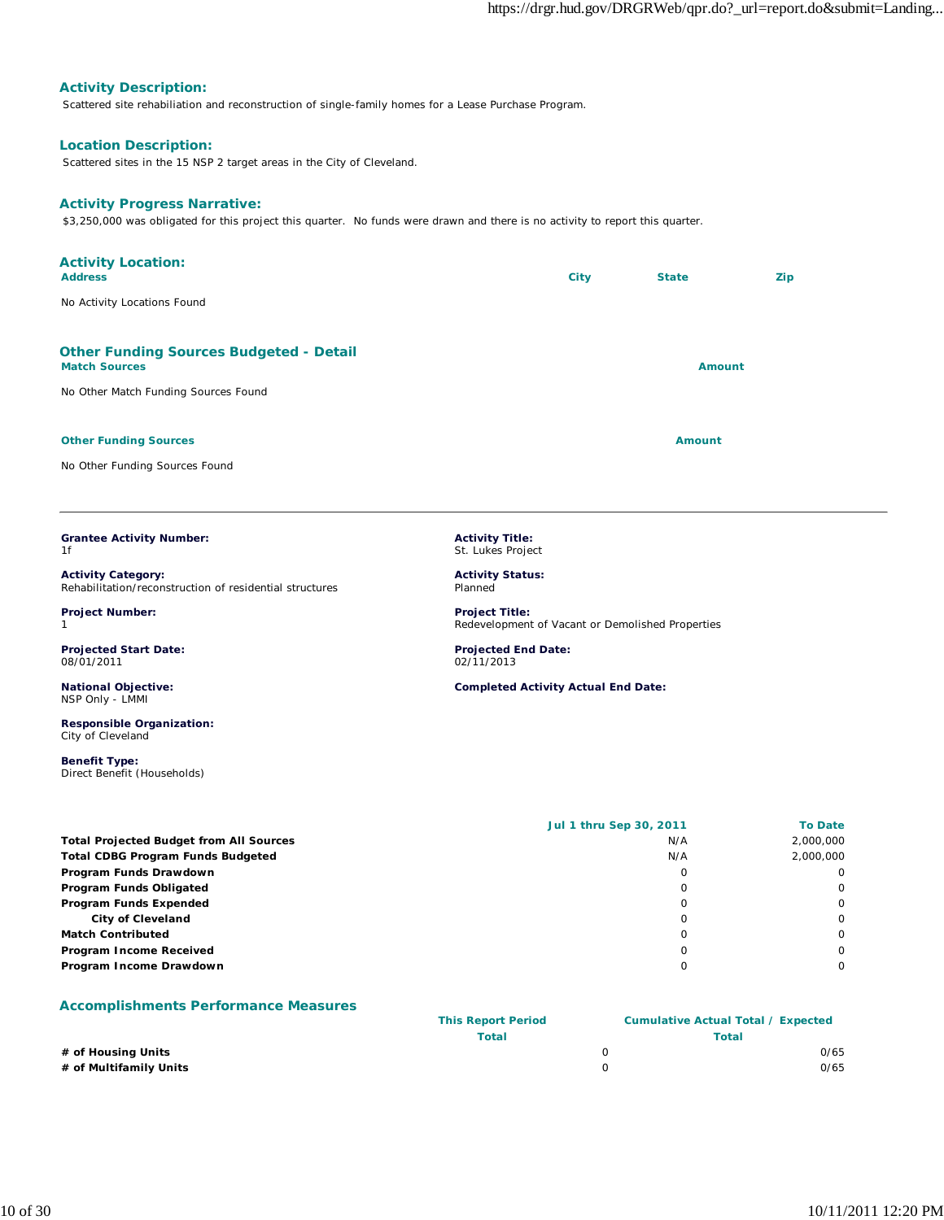#### **Activity Description:**

Scattered site rehabiliation and reconstruction of single-family homes for a Lease Purchase Program.

#### **Location Description:**

Scattered sites in the 15 NSP 2 target areas in the City of Cleveland.

#### **Activity Progress Narrative:**

\$3,250,000 was obligated for this project this quarter. No funds were drawn and there is no activity to report this quarter.

| <b>Activity Location:</b><br><b>Address</b><br>No Activity Locations Found                                     | City | <b>State</b>  | Zip |
|----------------------------------------------------------------------------------------------------------------|------|---------------|-----|
| <b>Other Funding Sources Budgeted - Detail</b><br><b>Match Sources</b><br>No Other Match Funding Sources Found |      | <b>Amount</b> |     |
| <b>Other Funding Sources</b><br>No Other Funding Sources Found                                                 |      | <b>Amount</b> |     |

#### **Grantee Activity Number:** 1f

**Activity Category:** Rehabilitation/reconstruction of residential structures

**Project Number:** 1

**Projected Start Date:** 08/01/2011

**National Objective:** NSP Only - LMMI

**Responsible Organization:** City of Cleveland

**Benefit Type:** Direct Benefit (Households) **Activity Title:** St. Lukes Project

**Activity Status:** Planned

**Project Title:** Redevelopment of Vacant or Demolished Properties

**Projected End Date:** 02/11/2013

**Completed Activity Actual End Date:**

|                                                | Jul 1 thru Sep 30, 2011 | <b>To Date</b> |
|------------------------------------------------|-------------------------|----------------|
| <b>Total Projected Budget from All Sources</b> | N/A                     | 2,000,000      |
| <b>Total CDBG Program Funds Budgeted</b>       | N/A                     | 2,000,000      |
| Program Funds Drawdown                         | 0                       | 0              |
| Program Funds Obligated                        | O                       | 0              |
| Program Funds Expended                         | 0                       | $\Omega$       |
| <b>City of Cleveland</b>                       | 0                       | Ω              |
| <b>Match Contributed</b>                       | 0                       | 0              |
| Program Income Received                        | $\Omega$                | $\Omega$       |
| Program Income Drawdown                        | O                       | 0              |

#### **Accomplishments Performance Measures**

|                        | <b>This Report Period</b> | <b>Cumulative Actual Total / Expected</b> |
|------------------------|---------------------------|-------------------------------------------|
|                        | Total                     | Total                                     |
| # of Housing Units     |                           | 0/65                                      |
| # of Multifamily Units |                           | 0/65                                      |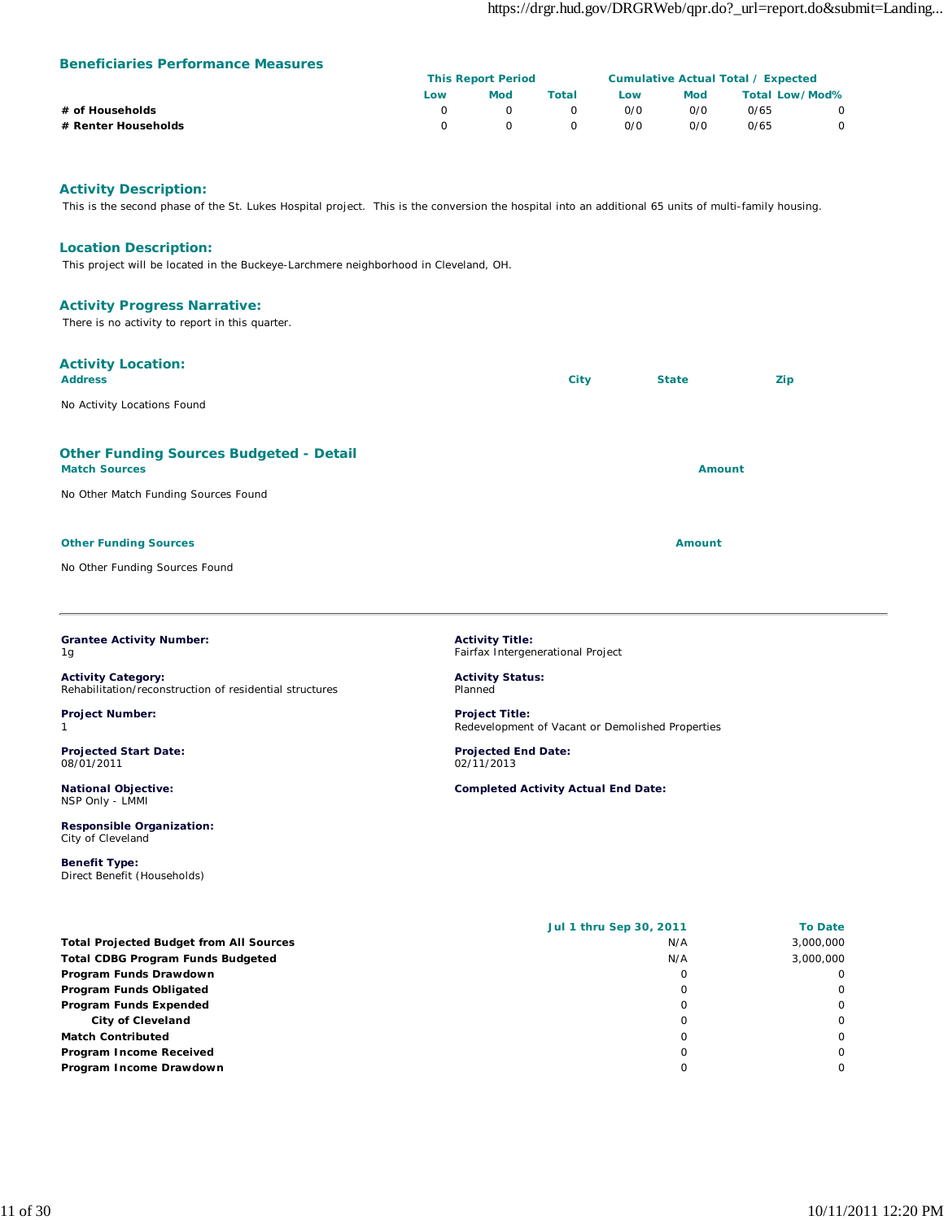#### **Beneficiaries Performance Measures**

|                     | <b>This Report Period</b> |     |       | Cumulative Actual Total / Expected |     |                |          |
|---------------------|---------------------------|-----|-------|------------------------------------|-----|----------------|----------|
|                     | LOW                       | Mod | Total | Low                                | Mod | Total Low/Mod% |          |
| # of Households     |                           |     |       | 0/0                                | ೧/೧ | 0/65           | $\Omega$ |
| # Renter Households |                           |     |       | 0/0                                | ೧/೧ | 0/65           | $\Omega$ |

#### **Activity Description:**

This is the second phase of the St. Lukes Hospital project. This is the conversion the hospital into an additional 65 units of multi-family housing.

#### **Location Description:**

This project will be located in the Buckeye-Larchmere neighborhood in Cleveland, OH.

#### **Activity Progress Narrative:**

There is no activity to report in this quarter.

| <b>Activity Location:</b><br><b>Address</b>                            | City | <b>State</b>  | Zip |
|------------------------------------------------------------------------|------|---------------|-----|
| No Activity Locations Found                                            |      |               |     |
| <b>Other Funding Sources Budgeted - Detail</b><br><b>Match Sources</b> |      | <b>Amount</b> |     |
| No Other Match Funding Sources Found                                   |      |               |     |
| <b>Other Funding Sources</b>                                           |      | <b>Amount</b> |     |
| No Other Funding Sources Found                                         |      |               |     |

#### **Grantee Activity Number:** 1g

**Activity Category:** Rehabilitation/reconstruction of residential structures

**Project Number:** 1

**Projected Start Date:** 08/01/2011

**National Objective:** NSP Only - LMMI

**Responsible Organization:** City of Cleveland

**Benefit Type:** Direct Benefit (Households)

**Activity Title:** Fairfax Intergenerational Project

**Activity Status:** Planned

**Project Title:** Redevelopment of Vacant or Demolished Properties

**Projected End Date:** 02/11/2013

|                                                | Jul 1 thru Sep 30, 2011 | <b>To Date</b> |
|------------------------------------------------|-------------------------|----------------|
| <b>Total Projected Budget from All Sources</b> | N/A                     | 3,000,000      |
| <b>Total CDBG Program Funds Budgeted</b>       | N/A                     | 3,000,000      |
| Program Funds Drawdown                         | 0                       | $\Omega$       |
| Program Funds Obligated                        | 0                       | O              |
| Program Funds Expended                         | 0                       | $\Omega$       |
| City of Cleveland                              | 0                       | $\Omega$       |
| <b>Match Contributed</b>                       | 0                       | $\Omega$       |
| Program Income Received                        | 0                       | $\Omega$       |
| Program Income Drawdown                        | 0                       | $\Omega$       |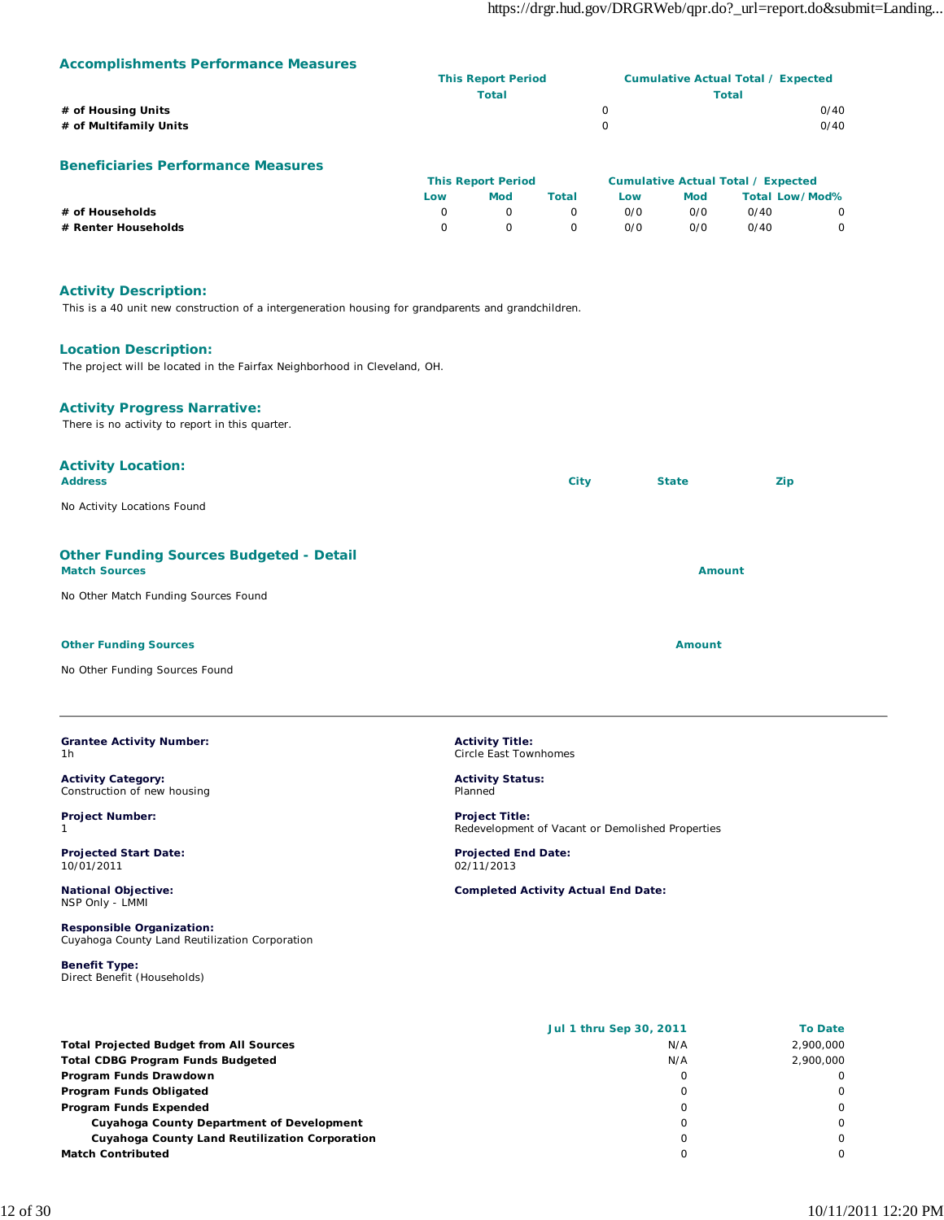|                        | <b>This Report Period</b> |          | <b>Cumulative Actual Total / Expected</b> |
|------------------------|---------------------------|----------|-------------------------------------------|
|                        | <b>Total</b>              |          | <b>Total</b>                              |
| # of Housing Units     |                           |          | 0/40                                      |
| # of Multifamily Units |                           | $\Omega$ | 0/40                                      |
|                        |                           |          |                                           |
|                        |                           |          |                                           |

# **Beneficiaries Performance Measures**

|                     | <b>This Report Period</b> |     |        | <b>Cumulative Actual Total / Expected</b> |     |                |          |
|---------------------|---------------------------|-----|--------|-------------------------------------------|-----|----------------|----------|
|                     | LOW                       | Mod | Total  | Low                                       | Mod | Total Low/Mod% |          |
| # of Households     |                           |     |        | 0/0                                       | 0/0 | 0/40           | $\Omega$ |
| # Renter Households |                           |     | $\cap$ | 0/0                                       | 0/0 | 0/40           | $\Omega$ |

#### **Activity Description:**

This is a 40 unit new construction of a intergeneration housing for grandparents and grandchildren.

#### **Location Description:**

The project will be located in the Fairfax Neighborhood in Cleveland, OH.

#### **Activity Progress Narrative:**

There is no activity to report in this quarter.

| <b>Activity Location:</b><br><b>Address</b>                            | <b>City</b> | <b>State</b> | Zip |
|------------------------------------------------------------------------|-------------|--------------|-----|
| No Activity Locations Found                                            |             |              |     |
| <b>Other Funding Sources Budgeted - Detail</b><br><b>Match Sources</b> |             | Amount       |     |
| No Other Match Funding Sources Found                                   |             |              |     |
| <b>Other Funding Sources</b>                                           |             | Amount       |     |

No Other Funding Sources Found

#### **Grantee Activity Number:** 1h

**Activity Category:** Construction of new housing

**Project Number:** 1

**Projected Start Date:** 10/01/2011

**National Objective:** NSP Only - LMMI

**Responsible Organization:** Cuyahoga County Land Reutilization Corporation

**Benefit Type:** Direct Benefit (Households) **Activity Title:** Circle East Townhomes

**Activity Status:** Planned

**Project Title:** Redevelopment of Vacant or Demolished Properties

**Projected End Date:** 02/11/2013

|                                                  | Jul 1 thru Sep 30, 2011 | <b>To Date</b> |
|--------------------------------------------------|-------------------------|----------------|
| <b>Total Projected Budget from All Sources</b>   | N/A                     | 2,900,000      |
| <b>Total CDBG Program Funds Budgeted</b>         | N/A                     | 2.900.000      |
| Program Funds Drawdown                           | 0                       | Ω              |
| Program Funds Obligated                          | 0                       | O              |
| Program Funds Expended                           | C                       | $\Omega$       |
| <b>Cuyahoga County Department of Development</b> | Ω                       | O              |
| Cuyahoga County Land Reutilization Corporation   | 0                       | O              |
| <b>Match Contributed</b>                         |                         | 0              |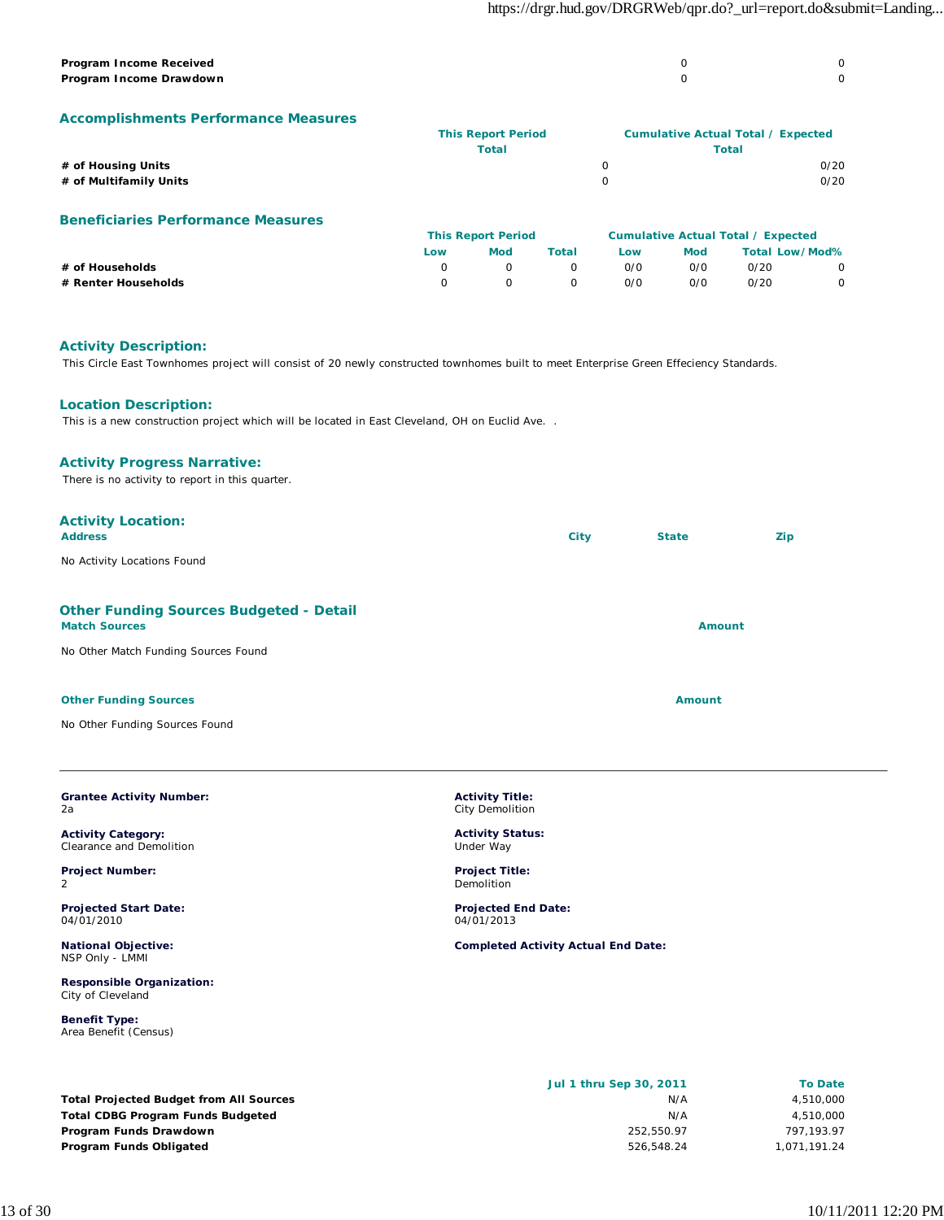| Program Income Received |  |
|-------------------------|--|
| Program Income Drawdown |  |

|                        | <b>This Report Period</b> | <b>Cumulative Actual Total / Expected</b> |
|------------------------|---------------------------|-------------------------------------------|
|                        | <b>Total</b>              | Total                                     |
| # of Housing Units     |                           | 0/20                                      |
| # of Multifamily Units |                           | 0/20                                      |
|                        |                           |                                           |

# **Beneficiaries Performance Measures**

|                     | <b>This Report Period</b> |            |       | <b>Cumulative Actual Total / Expected</b> |     |                |          |
|---------------------|---------------------------|------------|-------|-------------------------------------------|-----|----------------|----------|
|                     | LOW                       | <b>Mod</b> | Total | Low                                       | Mod | Total Low/Mod% |          |
| # of Households     |                           |            |       | 0/0                                       | 0/0 | 0/20           | $\Omega$ |
| # Renter Households |                           |            |       | 0/0                                       | 0/0 | 0/20           | $\circ$  |

#### **Activity Description:**

This Circle East Townhomes project will consist of 20 newly constructed townhomes built to meet Enterprise Green Effeciency Standards.

#### **Location Description:**

This is a new construction project which will be located in East Cleveland, OH on Euclid Ave. .

#### **Activity Progress Narrative:**

There is no activity to report in this quarter.

| <b>Activity Location:</b><br><b>Address</b> | City | <b>State</b> | Zip |
|---------------------------------------------|------|--------------|-----|
| No Activity Locations Found                 |      |              |     |

#### **Other Funding Sources Budgeted - Detail Match Sources Amount**

No Other Match Funding Sources Found

#### **Other Funding Sources Amount Amount Amount Amount Amount**

No Other Funding Sources Found

#### **Grantee Activity Number:** 2a

**Activity Category:** Clearance and Demolition

**Project Number:** 2

**Projected Start Date:** 04/01/2010

**National Objective:** NSP Only - LMMI

**Responsible Organization:** City of Cleveland

**Benefit Type:** Area Benefit (Census)

**Total Projected Budget from All Sources Total CDBG Program Funds Budgeted Program Funds Drawdown Program Funds Obligated** 

**Activity Title:** City Demolition

**Activity Status:** Under Way

**Project Title:** Demolition

**Projected End Date:** 04/01/2013

| Jul 1 thru Sep 30, 2011 | <b>To Date</b> |
|-------------------------|----------------|
| N/A                     | 4,510,000      |
| N/A                     | 4,510,000      |
| 252.550.97              | 797.193.97     |
| 526.548.24              | 1,071,191.24   |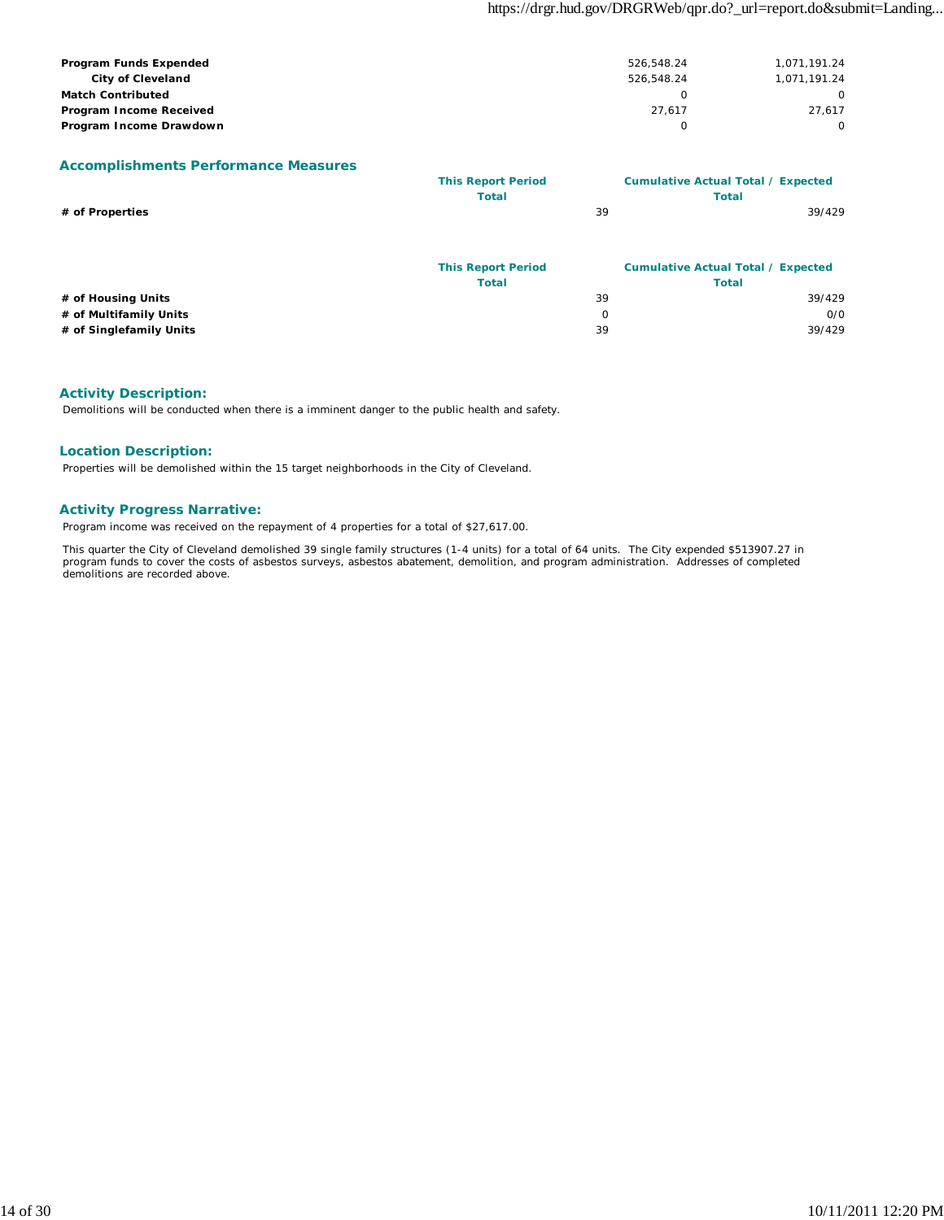| Program Funds Expended   | 526.548.24 | 1,071,191.24 |
|--------------------------|------------|--------------|
| <b>City of Cleveland</b> | 526.548.24 | 1,071,191.24 |
| <b>Match Contributed</b> |            | $\Omega$     |
| Program Income Received  | 27.617     | 27.617       |
| Program Income Drawdown  | 0          | $\Omega$     |

|                 | <b>This Report Period</b> | <b>Cumulative Actual Total / Expected</b> |
|-----------------|---------------------------|-------------------------------------------|
|                 | <b>Total</b>              | Total                                     |
| # of Properties |                           | 39<br>39/429                              |
|                 |                           |                                           |

|                         | <b>This Report Period</b> | <b>Cumulative Actual Total / Expected</b> |
|-------------------------|---------------------------|-------------------------------------------|
|                         | <b>Total</b>              | <b>Total</b>                              |
| # of Housing Units      | 39                        | 39/429                                    |
| # of Multifamily Units  | 0                         | O/O                                       |
| # of Singlefamily Units | 39                        | 39/429                                    |

#### **Activity Description:**

Demolitions will be conducted when there is a imminent danger to the public health and safety.

#### **Location Description:**

Properties will be demolished within the 15 target neighborhoods in the City of Cleveland.

#### **Activity Progress Narrative:**

Program income was received on the repayment of 4 properties for a total of \$27,617.00.

This quarter the City of Cleveland demolished 39 single family structures (1-4 units) for a total of 64 units. The City expended \$513907.27 in program funds to cover the costs of asbestos surveys, asbestos abatement, demolition, and program administration. Addresses of completed demolitions are recorded above.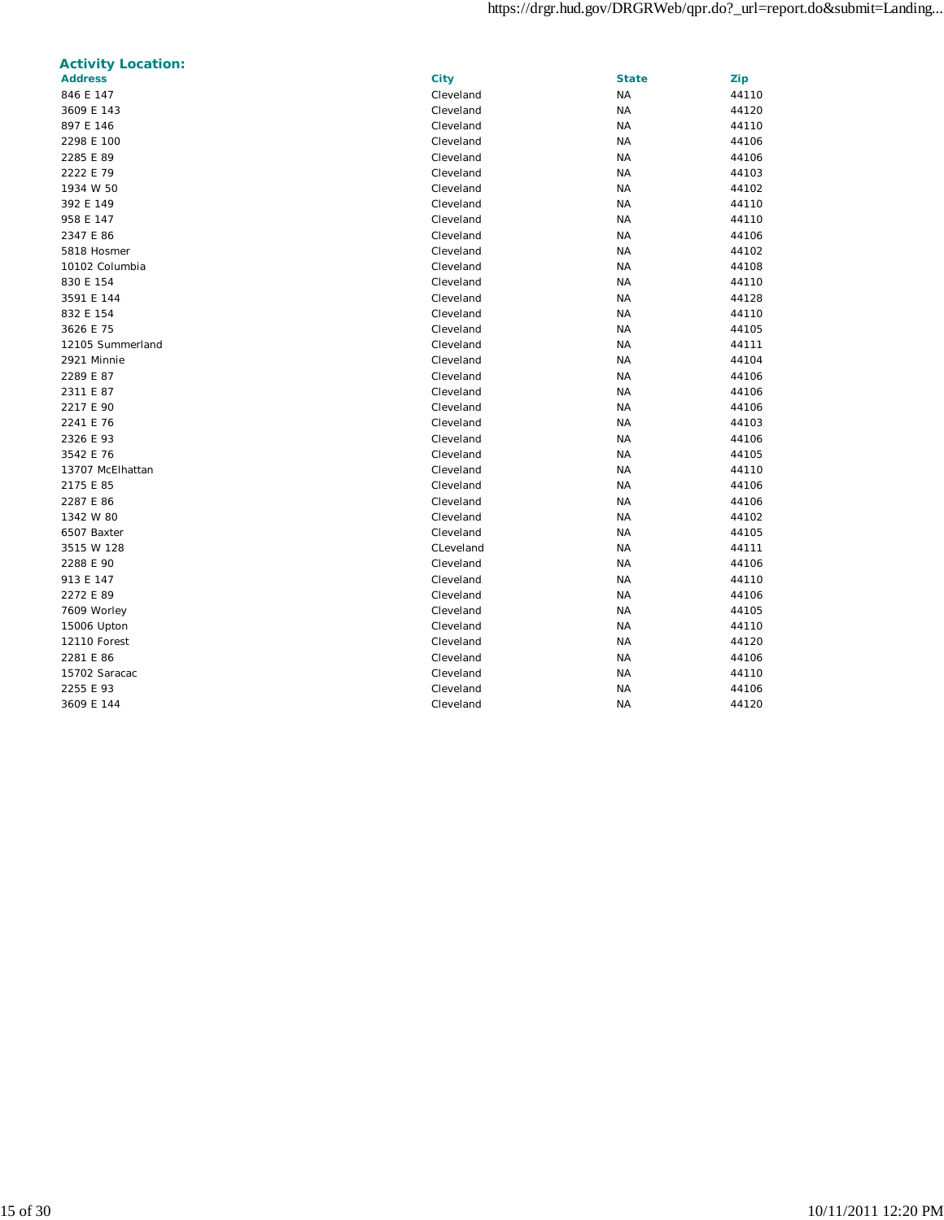| <b>Activity Location:</b> |             |              |       |
|---------------------------|-------------|--------------|-------|
| <b>Address</b>            | <b>City</b> | <b>State</b> | Zip   |
| 846 E 147                 | Cleveland   | <b>NA</b>    | 44110 |
| 3609 E 143                | Cleveland   | <b>NA</b>    | 44120 |
| 897 E 146                 | Cleveland   | <b>NA</b>    | 44110 |
| 2298 E 100                | Cleveland   | <b>NA</b>    | 44106 |
| 2285 E 89                 | Cleveland   | <b>NA</b>    | 44106 |
| 2222 E 79                 | Cleveland   | <b>NA</b>    | 44103 |
| 1934 W 50                 | Cleveland   | <b>NA</b>    | 44102 |
| 392 E 149                 | Cleveland   | <b>NA</b>    | 44110 |
| 958 E 147                 | Cleveland   | <b>NA</b>    | 44110 |
| 2347 E 86                 | Cleveland   | <b>NA</b>    | 44106 |
| 5818 Hosmer               | Cleveland   | <b>NA</b>    | 44102 |
| 10102 Columbia            | Cleveland   | <b>NA</b>    | 44108 |
| 830 E 154                 | Cleveland   | <b>NA</b>    | 44110 |
| 3591 E 144                | Cleveland   | <b>NA</b>    | 44128 |
| 832 E 154                 | Cleveland   | <b>NA</b>    | 44110 |
| 3626 E 75                 | Cleveland   | <b>NA</b>    | 44105 |
| 12105 Summerland          | Cleveland   | <b>NA</b>    | 44111 |
| 2921 Minnie               | Cleveland   | <b>NA</b>    | 44104 |
| 2289 E 87                 | Cleveland   | <b>NA</b>    | 44106 |
| 2311 E 87                 | Cleveland   | <b>NA</b>    | 44106 |
| 2217 E 90                 | Cleveland   | <b>NA</b>    | 44106 |
| 2241 E 76                 | Cleveland   | <b>NA</b>    | 44103 |
| 2326 E 93                 | Cleveland   | <b>NA</b>    | 44106 |
| 3542 E 76                 | Cleveland   | <b>NA</b>    | 44105 |
| 13707 McElhattan          | Cleveland   | <b>NA</b>    | 44110 |
| 2175 E 85                 | Cleveland   | <b>NA</b>    | 44106 |
| 2287 E 86                 | Cleveland   | <b>NA</b>    | 44106 |
| 1342 W 80                 | Cleveland   | <b>NA</b>    | 44102 |
| 6507 Baxter               | Cleveland   | <b>NA</b>    | 44105 |
| 3515 W 128                | CLeveland   | <b>NA</b>    | 44111 |
| 2288 E 90                 | Cleveland   | <b>NA</b>    | 44106 |
| 913 E 147                 | Cleveland   | <b>NA</b>    | 44110 |
| 2272 E 89                 | Cleveland   | <b>NA</b>    | 44106 |
| 7609 Worley               | Cleveland   | <b>NA</b>    | 44105 |
| 15006 Upton               | Cleveland   | <b>NA</b>    | 44110 |
| 12110 Forest              | Cleveland   | <b>NA</b>    | 44120 |
| 2281 E 86                 | Cleveland   | <b>NA</b>    | 44106 |
| 15702 Saracac             | Cleveland   | <b>NA</b>    | 44110 |
| 2255 E 93                 | Cleveland   | <b>NA</b>    | 44106 |
| 3609 E 144                | Cleveland   | <b>NA</b>    | 44120 |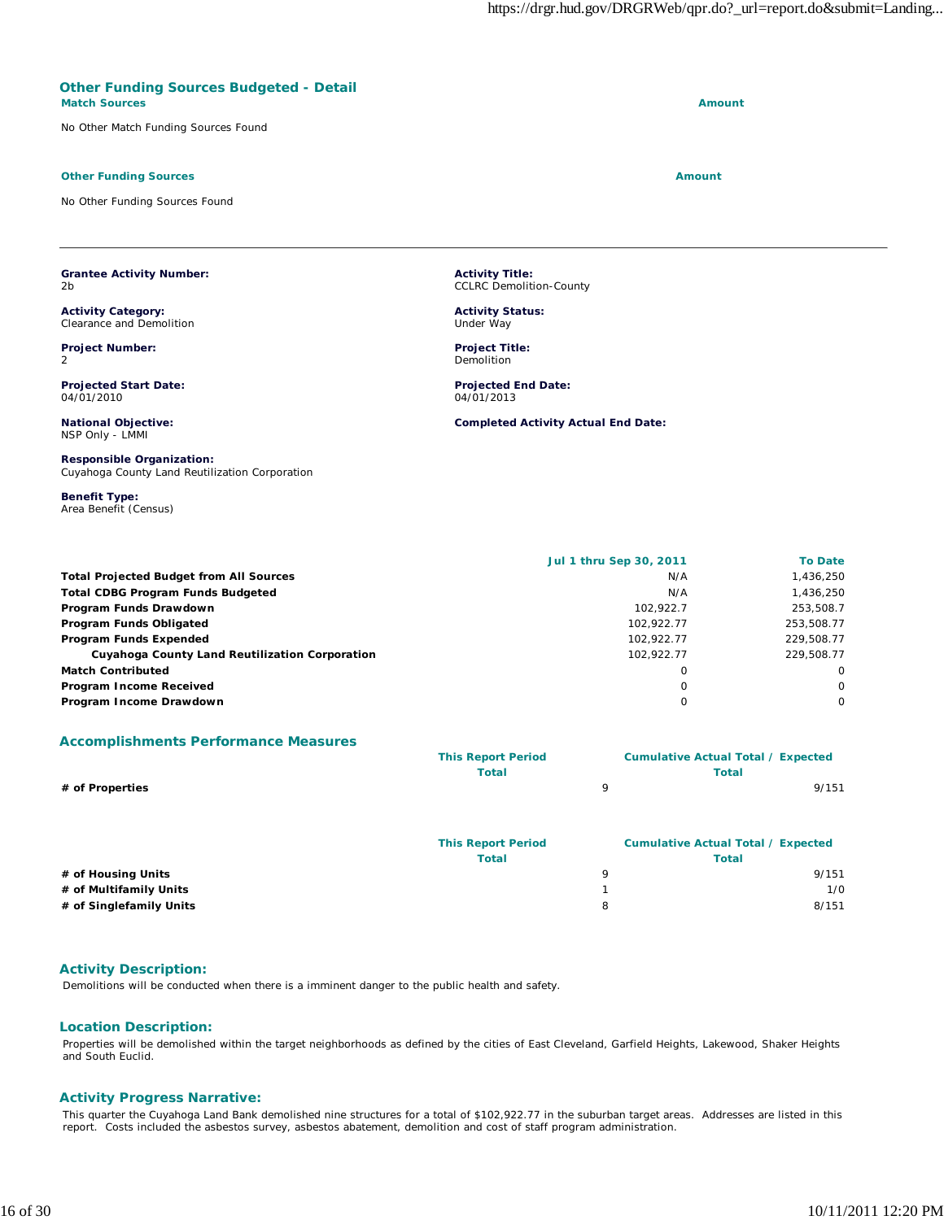#### **Other Funding Sources Budgeted - Detail Match Sources Amount**

No Other Match Funding Sources Found

#### **Other Funding Sources Amount Amount Amount Amount**

**Grantee Activity Number:**

2b

2

No Other Funding Sources Found

**Activity Title:** CCLRC Demolition-County

**Activity Status:** Under Way

**Project Title:** Demolition

**Projected End Date:** 04/01/2013

**Completed Activity Actual End Date:**

**Projected Start Date:** 04/01/2010

**National Objective:** NSP Only - LMMI

**Activity Category:** Clearance and Demolition

**Project Number:**

**Responsible Organization:** Cuyahoga County Land Reutilization Corporation

**Benefit Type:** Area Benefit (Census)

|                                                | Jul 1 thru Sep 30, 2011 | <b>To Date</b> |
|------------------------------------------------|-------------------------|----------------|
| <b>Total Projected Budget from All Sources</b> | N/A                     | 1,436,250      |
| <b>Total CDBG Program Funds Budgeted</b>       | N/A                     | 1,436,250      |
| Program Funds Drawdown                         | 102.922.7               | 253,508.7      |
| Program Funds Obligated                        | 102,922.77              | 253,508.77     |
| Program Funds Expended                         | 102.922.77              | 229.508.77     |
| Cuyahoga County Land Reutilization Corporation | 102.922.77              | 229.508.77     |
| <b>Match Contributed</b>                       | 0                       | Ω              |
| Program Income Received                        | O                       | 0              |
| Program Income Drawdown                        | O                       | 0              |

**Accomplishments Performance Measures**

|                 | <b>This Report Period</b> | <b>Cumulative Actual Total / Expected</b> |       |
|-----------------|---------------------------|-------------------------------------------|-------|
|                 | Total                     | Total                                     |       |
| # of Properties |                           |                                           | 9/151 |

|                         | <b>This Report Period</b> | <b>Cumulative Actual Total / Expected</b> |       |
|-------------------------|---------------------------|-------------------------------------------|-------|
|                         | <b>Total</b>              |                                           | Total |
| # of Housing Units      |                           | $\Omega$                                  | 9/151 |
| # of Multifamily Units  |                           |                                           | 1/0   |
| # of Singlefamily Units |                           | 8                                         | 8/151 |
|                         |                           |                                           |       |

#### **Activity Description:**

Demolitions will be conducted when there is a imminent danger to the public health and safety.

#### **Location Description:**

Properties will be demolished within the target neighborhoods as defined by the cities of East Cleveland, Garfield Heights, Lakewood, Shaker Heights and South Euclid.

#### **Activity Progress Narrative:**

This quarter the Cuyahoga Land Bank demolished nine structures for a total of \$102,922.77 in the suburban target areas. Addresses are listed in this report. Costs included the asbestos survey, asbestos abatement, demolition and cost of staff program administration.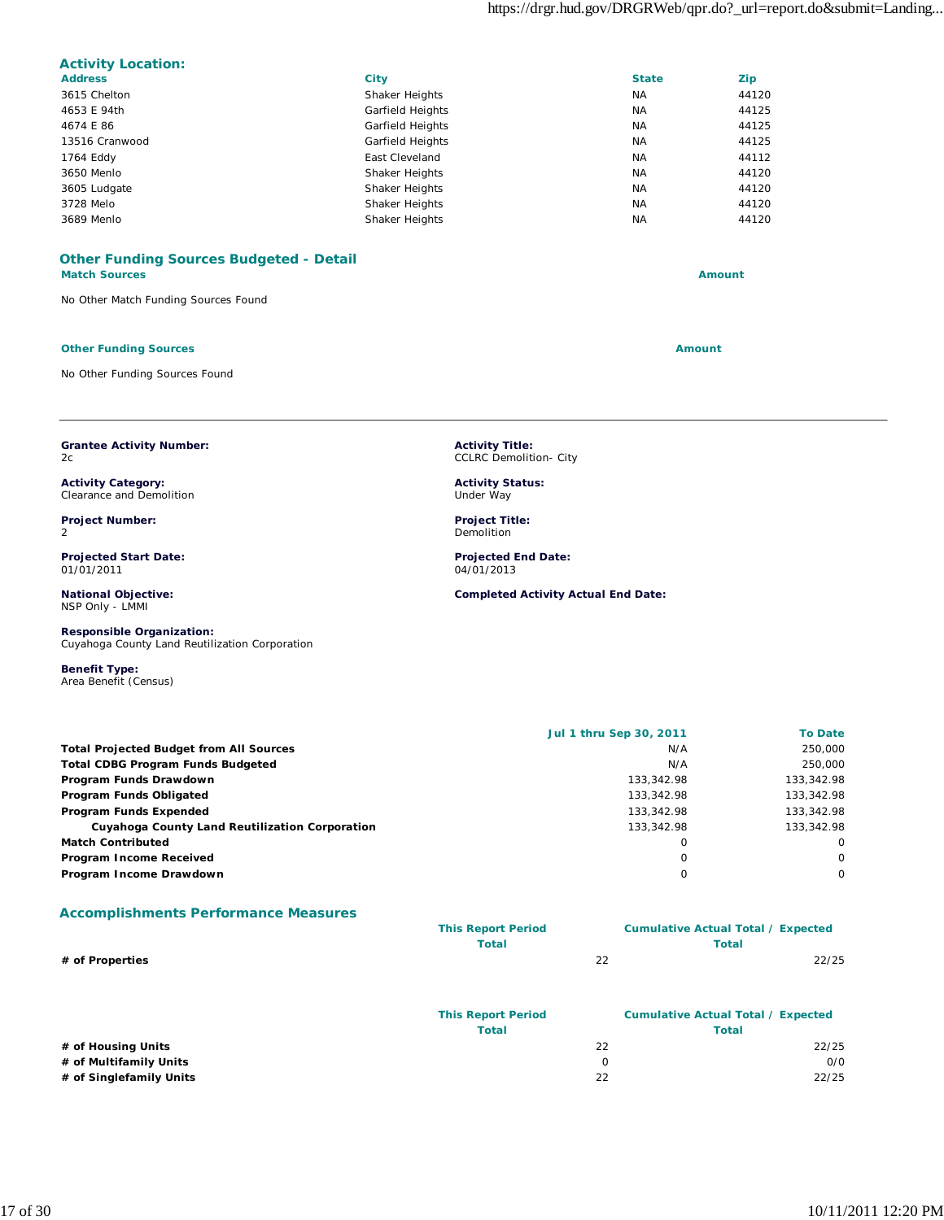| <b>Activity Location:</b> |                  |              |       |
|---------------------------|------------------|--------------|-------|
| <b>Address</b>            | City             | <b>State</b> | Zip   |
| 3615 Chelton              | Shaker Heights   | <b>NA</b>    | 44120 |
| 4653 E 94th               | Garfield Heights | <b>NA</b>    | 44125 |
| 4674 E 86                 | Garfield Heights | <b>NA</b>    | 44125 |
| 13516 Cranwood            | Garfield Heights | <b>NA</b>    | 44125 |
| 1764 Eddy                 | East Cleveland   | <b>NA</b>    | 44112 |
| 3650 Menlo                | Shaker Heights   | <b>NA</b>    | 44120 |
| 3605 Ludgate              | Shaker Heights   | <b>NA</b>    | 44120 |
| 3728 Melo                 | Shaker Heights   | <b>NA</b>    | 44120 |
| 3689 Menlo                | Shaker Heights   | <b>NA</b>    | 44120 |
|                           |                  |              |       |

#### **Other Funding Sources Budgeted - Detail Match Sources Amount**

No Other Match Funding Sources Found

## **Other Funding Sources Amount Amount Amount Amount**

**Grantee Activity Number:**

**Activity Category:** Clearance and Demolition

**Project Number:**

01/01/2011

**Benefit Type:** Area Benefit (Census)

**Projected Start Date:**

**National Objective:** NSP Only - LMMI

**Responsible Organization:**

Cuyahoga County Land Reutilization Corporation

 $2\mathtt{c}$ 

2

No Other Funding Sources Found

**Activity Title:** CCLRC Demolition- City

**Activity Status:** Under Way

**Project Title:** Demolition

**Projected End Date:** 04/01/2013

**Completed Activity Actual End Date:**

|                                                | Jul 1 thru Sep 30, 2011 | <b>To Date</b> |
|------------------------------------------------|-------------------------|----------------|
| <b>Total Projected Budget from All Sources</b> | N/A                     | 250,000        |
| <b>Total CDBG Program Funds Budgeted</b>       | N/A                     | 250,000        |
| Program Funds Drawdown                         | 133,342.98              | 133,342.98     |
| Program Funds Obligated                        | 133.342.98              | 133,342.98     |
| Program Funds Expended                         | 133.342.98              | 133,342.98     |
| Cuyahoga County Land Reutilization Corporation | 133.342.98              | 133,342.98     |
| <b>Match Contributed</b>                       | 0                       | O              |
| Program Income Received                        | $\Omega$                | Ω              |
| Program Income Drawdown                        | O                       | 0              |

#### **Accomplishments Performance Measures**

|                 | <b>This Report Period</b> | <b>Cumulative Actual Total / Expected</b> |
|-----------------|---------------------------|-------------------------------------------|
|                 | <b>Total</b>              | Total                                     |
| # of Properties |                           | 22/25<br>22                               |
|                 |                           |                                           |
|                 |                           |                                           |

|                         | <b>This Report Period</b> | <b>Cumulative Actual Total / Expected</b> |       |
|-------------------------|---------------------------|-------------------------------------------|-------|
|                         | Total                     |                                           | Total |
| # of Housing Units      |                           | 22                                        | 22/25 |
| # of Multifamily Units  |                           |                                           | O/O   |
| # of Singlefamily Units |                           | 22                                        | 22/25 |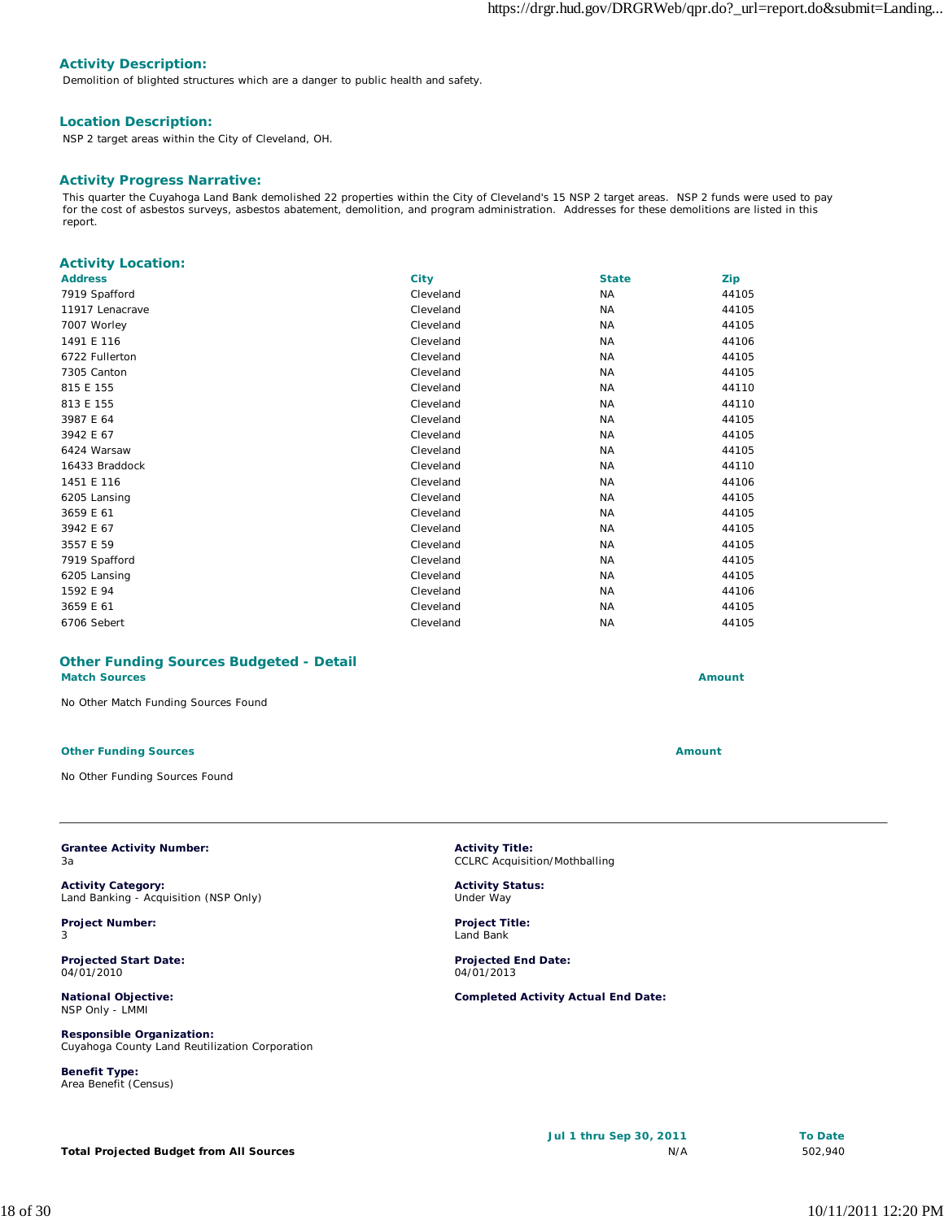#### **Activity Description:**

Demolition of blighted structures which are a danger to public health and safety.

#### **Location Description:**

NSP 2 target areas within the City of Cleveland, OH.

#### **Activity Progress Narrative:**

This quarter the Cuyahoga Land Bank demolished 22 properties within the City of Cleveland's 15 NSP 2 target areas. NSP 2 funds were used to pay for the cost of asbestos surveys, asbestos abatement, demolition, and program administration. Addresses for these demolitions are listed in this report.

| <b>Activity Location:</b> |           |              |       |
|---------------------------|-----------|--------------|-------|
| <b>Address</b>            | City      | <b>State</b> | Zip   |
| 7919 Spafford             | Cleveland | <b>NA</b>    | 44105 |
| 11917 Lenacrave           | Cleveland | <b>NA</b>    | 44105 |
| 7007 Worley               | Cleveland | NA           | 44105 |
| 1491 E 116                | Cleveland | <b>NA</b>    | 44106 |
| 6722 Fullerton            | Cleveland | <b>NA</b>    | 44105 |
| 7305 Canton               | Cleveland | NA           | 44105 |
| 815 E 155                 | Cleveland | <b>NA</b>    | 44110 |
| 813 E 155                 | Cleveland | NA           | 44110 |
| 3987 E 64                 | Cleveland | NA           | 44105 |
| 3942 E 67                 | Cleveland | <b>NA</b>    | 44105 |
| 6424 Warsaw               | Cleveland | <b>NA</b>    | 44105 |
| 16433 Braddock            | Cleveland | <b>NA</b>    | 44110 |
| 1451 E 116                | Cleveland | <b>NA</b>    | 44106 |
| 6205 Lansing              | Cleveland | NA           | 44105 |
| 3659 E 61                 | Cleveland | <b>NA</b>    | 44105 |
| 3942 E 67                 | Cleveland | NA           | 44105 |
| 3557 E 59                 | Cleveland | <b>NA</b>    | 44105 |
| 7919 Spafford             | Cleveland | <b>NA</b>    | 44105 |
| 6205 Lansing              | Cleveland | <b>NA</b>    | 44105 |
| 1592 E 94                 | Cleveland | <b>NA</b>    | 44106 |
| 3659 E 61                 | Cleveland | <b>NA</b>    | 44105 |
| 6706 Sebert               | Cleveland | <b>NA</b>    | 44105 |

#### **Other Funding Sources Budgeted - Detail Match Sources Amount**

No Other Match Funding Sources Found

#### **Other Funding Sources Amount Amount Amount Amount**

No Other Funding Sources Found

#### **Grantee Activity Number:** 3a

**Activity Category:** Land Banking - Acquisition (NSP Only)

**Project Number:** 3

**Projected Start Date:** 04/01/2010

**National Objective:** NSP Only - LMMI

**Responsible Organization:** Cuyahoga County Land Reutilization Corporation

**Benefit Type:** Area Benefit (Census)

**Activity Title:** CCLRC Acquisition/Mothballing

**Activity Status:** Under Way

**Project Title:** Land Bank

**Projected End Date:** 04/01/2013

**Completed Activity Actual End Date:**

**Total Projected Budget from All Sources** N/A 502,940

**Jul 1 thru Sep 30, 2011 To Date**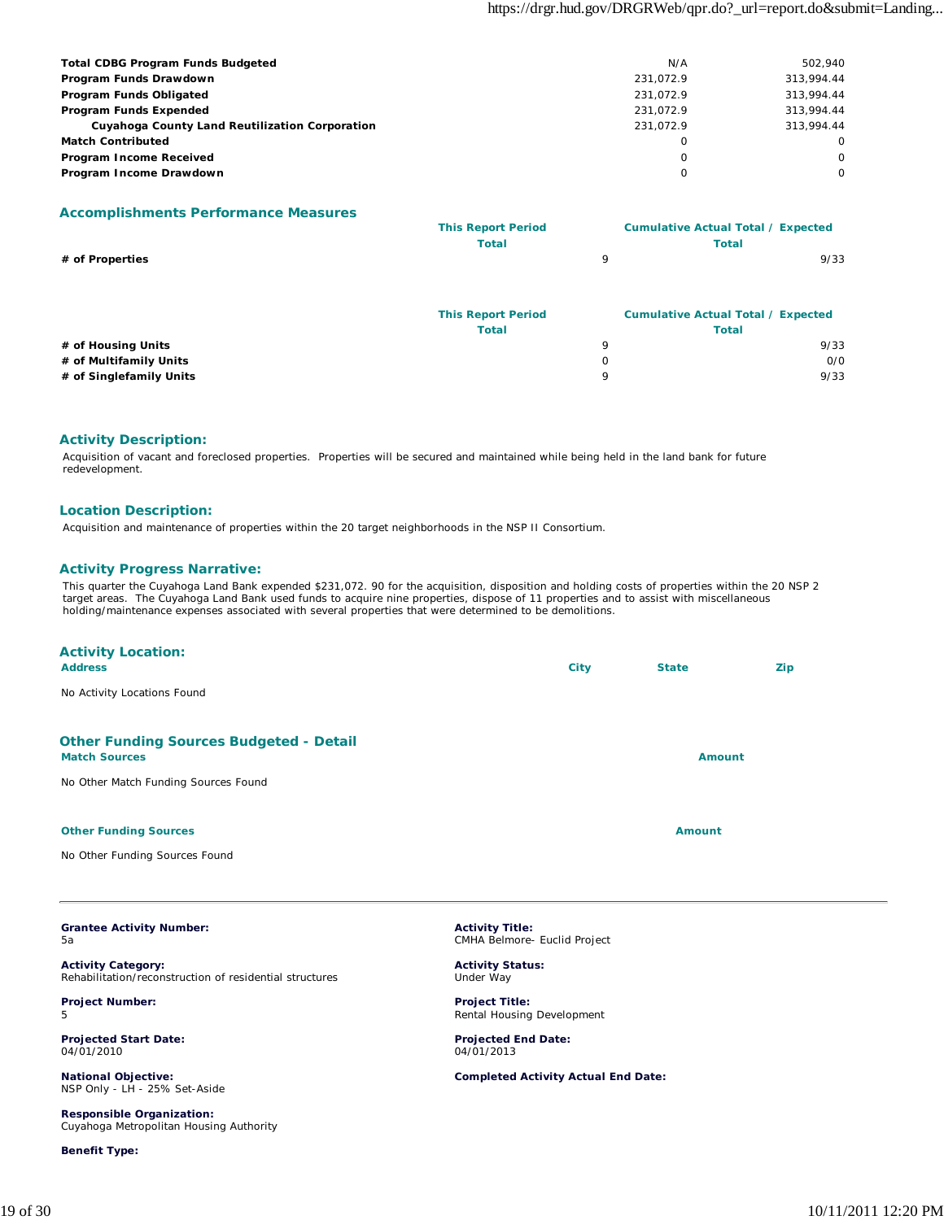| <b>Total CDBG Program Funds Budgeted</b>       | N/A       | 502.940    |
|------------------------------------------------|-----------|------------|
| Program Funds Drawdown                         | 231.072.9 | 313.994.44 |
| Program Funds Obligated                        | 231.072.9 | 313.994.44 |
| Program Funds Expended                         | 231.072.9 | 313.994.44 |
| Cuyahoga County Land Reutilization Corporation | 231.072.9 | 313.994.44 |
| <b>Match Contributed</b>                       | $\Omega$  | $\Omega$   |
| Program Income Received                        | 0         | $\Omega$   |
| Program Income Drawdown                        | $\Omega$  | $\Omega$   |

|                 | <b>This Report Period</b> | <b>Cumulative Actual Total / Expected</b> |
|-----------------|---------------------------|-------------------------------------------|
|                 | Total                     | Total                                     |
| # of Properties |                           | 9/33                                      |

|                         | <b>This Report Period</b> | <b>Cumulative Actual Total / Expected</b> |
|-------------------------|---------------------------|-------------------------------------------|
| Total                   | Total                     |                                           |
| # of Housing Units      |                           | 9/33                                      |
| # of Multifamily Units  |                           | O/O                                       |
| # of Singlefamily Units |                           | 9/33                                      |

#### **Activity Description:**

Acquisition of vacant and foreclosed properties. Properties will be secured and maintained while being held in the land bank for future redevelopment.

#### **Location Description:**

Acquisition and maintenance of properties within the 20 target neighborhoods in the NSP II Consortium.

#### **Activity Progress Narrative:**

This quarter the Cuyahoga Land Bank expended \$231,072. 90 for the acquisition, disposition and holding costs of properties within the 20 NSP 2 target areas. The Cuyahoga Land Bank used funds to acquire nine properties, dispose of 11 properties and to assist with miscellaneous holding/maintenance expenses associated with several properties that were determined to be demolitions.

# **Activity Location: Address City State Zip** No Activity Locations Found **Other Funding Sources Budgeted - Detail Match Sources Amount** No Other Match Funding Sources Found **Other Funding Sources Amount Amount Amount Amount** No Other Funding Sources Found

**Grantee Activity Number:** 5a

**Activity Category:** Rehabilitation/reconstruction of residential structures

**Project Number:** 5

**Projected Start Date:** 04/01/2010

**National Objective:** NSP Only - LH - 25% Set-Aside

**Responsible Organization:** Cuyahoga Metropolitan Housing Authority

**Benefit Type:**

**Activity Title:** CMHA Belmore- Euclid Project

**Activity Status:** Under Way

**Project Title:** Rental Housing Development

**Projected End Date:** 04/01/2013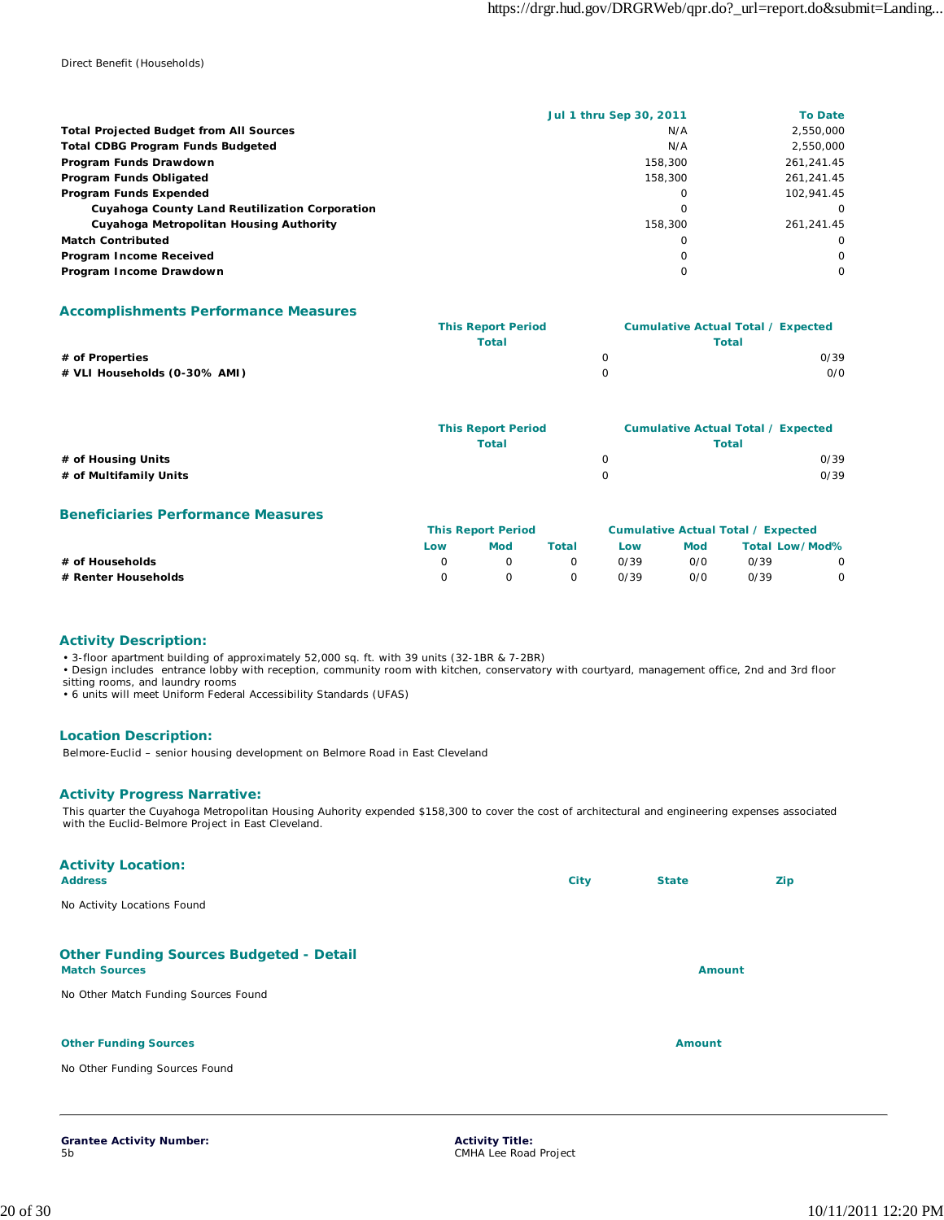Direct Benefit (Households)

|                                                | Jul 1 thru Sep 30, 2011 | <b>To Date</b> |
|------------------------------------------------|-------------------------|----------------|
| <b>Total Projected Budget from All Sources</b> | N/A                     | 2,550,000      |
| <b>Total CDBG Program Funds Budgeted</b>       | N/A                     | 2,550,000      |
| Program Funds Drawdown                         | 158,300                 | 261,241.45     |
| Program Funds Obligated                        | 158,300                 | 261.241.45     |
| Program Funds Expended                         | Ω                       | 102.941.45     |
| Cuyahoga County Land Reutilization Corporation | 0                       | $\Omega$       |
| Cuyahoga Metropolitan Housing Authority        | 158,300                 | 261.241.45     |
| <b>Match Contributed</b>                       | O                       | $\Omega$       |
| Program Income Received                        | O                       | $\Omega$       |
| Program Income Drawdown                        | 0                       | 0              |

**Accomplishments Performance Measures**

|                              | <b>This Report Period</b> | <b>Cumulative Actual Total / Expected</b> |      |
|------------------------------|---------------------------|-------------------------------------------|------|
| Total                        |                           | Total                                     |      |
| # of Properties              |                           |                                           | 0/39 |
| # VLI Households (0-30% AMI) |                           |                                           | 0/0  |

|                        | <b>This Report Period</b><br>Total | Cumulative Actual Total / Expected |
|------------------------|------------------------------------|------------------------------------|
|                        |                                    | Total                              |
| # of Housing Units     |                                    | 0/39                               |
| # of Multifamily Units |                                    | 0/39                               |

#### **Beneficiaries Performance Measures**

|                     |     | <b>This Report Period</b> |       | <b>Cumulative Actual Total / Expected</b> |            |      |                       |
|---------------------|-----|---------------------------|-------|-------------------------------------------|------------|------|-----------------------|
|                     | Low | Mod                       | Total | Low                                       | <b>Mod</b> |      | <b>Total Low/Mod%</b> |
| # of Households     |     |                           |       | 0/39                                      | 0/0        | 0/39 |                       |
| # Renter Households |     |                           |       | 0/39                                      | 0/0        | 0/39 |                       |

#### **Activity Description:**

• 3-floor apartment building of approximately 52,000 sq. ft. with 39 units (32-1BR & 7-2BR)

• Design includes entrance lobby with reception, community room with kitchen, conservatory with courtyard, management office, 2nd and 3rd floor sitting rooms, and laundry rooms

• 6 units will meet Uniform Federal Accessibility Standards (UFAS)

#### **Location Description:**

Belmore-Euclid – senior housing development on Belmore Road in East Cleveland

#### **Activity Progress Narrative:**

This quarter the Cuyahoga Metropolitan Housing Auhority expended \$158,300 to cover the cost of architectural and engineering expenses associated with the Euclid-Belmore Project in East Cleveland.

| <b>Activity Location:</b><br><b>Address</b>                            | City | <b>State</b>  | Zip |
|------------------------------------------------------------------------|------|---------------|-----|
| No Activity Locations Found                                            |      |               |     |
| <b>Other Funding Sources Budgeted - Detail</b><br><b>Match Sources</b> |      | <b>Amount</b> |     |
| No Other Match Funding Sources Found                                   |      |               |     |
| <b>Other Funding Sources</b><br>No Other Funding Sources Found         |      | <b>Amount</b> |     |
|                                                                        |      |               |     |

**Grantee Activity Number:** 5b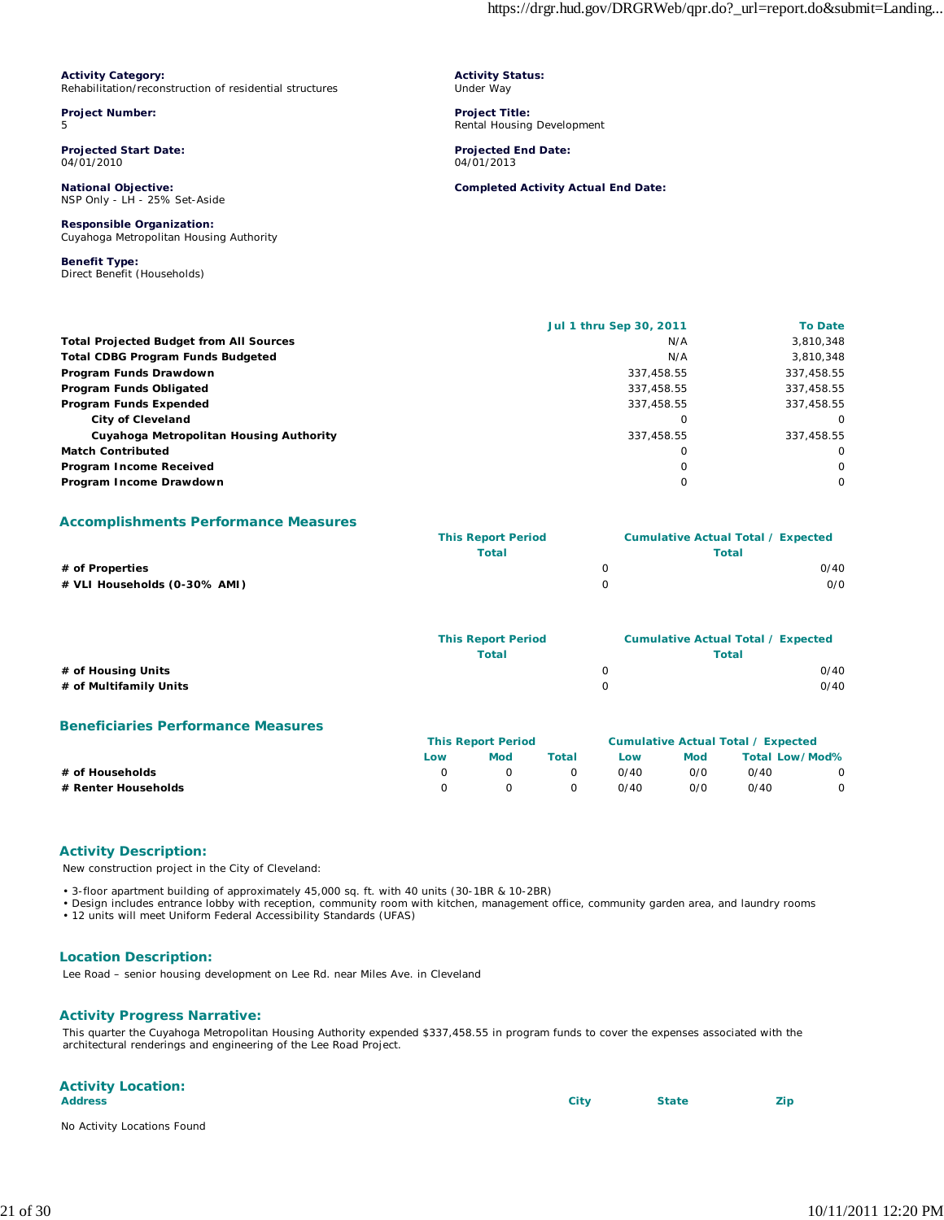**Activity Category:** Rehabilitation/reconstruction of residential structures

**Project Number:** 5

**Projected Start Date:** 04/01/2010

**National Objective:** NSP Only - LH - 25% Set-Aside

**Responsible Organization:** Cuyahoga Metropolitan Housing Authority

**Benefit Type:** Direct Benefit (Households) **Activity Status:** Under Way

**Project Title:** Rental Housing Development

**Projected End Date:** 04/01/2013

**Completed Activity Actual End Date:**

|                                                | Jul 1 thru Sep 30, 2011 | <b>To Date</b> |
|------------------------------------------------|-------------------------|----------------|
| <b>Total Projected Budget from All Sources</b> | N/A                     | 3,810,348      |
| <b>Total CDBG Program Funds Budgeted</b>       | N/A                     | 3,810,348      |
| Program Funds Drawdown                         | 337,458.55              | 337,458.55     |
| Program Funds Obligated                        | 337,458.55              | 337,458.55     |
| Program Funds Expended                         | 337,458.55              | 337,458.55     |
| <b>City of Cleveland</b>                       |                         | O              |
| Cuyahoga Metropolitan Housing Authority        | 337,458.55              | 337,458.55     |
| <b>Match Contributed</b>                       |                         | $\Omega$       |
| Program Income Received                        | 0                       | $\Omega$       |
| Program Income Drawdown                        | 0                       | $\circ$        |

#### **Accomplishments Performance Measures**

|                              | <b>This Report Period</b> | Cumulative Actual Total / Expected |      |
|------------------------------|---------------------------|------------------------------------|------|
| Total                        |                           | Total                              |      |
| # of Properties              |                           |                                    | 0/40 |
| # VLI Households (0-30% AMI) |                           |                                    | O/O  |

|                        | <b>This Report Period</b><br><b>Total</b> | <b>Cumulative Actual Total / Expected</b> |      |
|------------------------|-------------------------------------------|-------------------------------------------|------|
|                        |                                           | Total                                     |      |
| # of Housing Units     |                                           |                                           | 0/40 |
| # of Multifamily Units |                                           |                                           | 0/40 |

#### **Beneficiaries Performance Measures**

|                     | <b>This Report Period</b> |            |       | <b>Cumulative Actual Total / Expected</b> |     |                |          |
|---------------------|---------------------------|------------|-------|-------------------------------------------|-----|----------------|----------|
|                     | Low                       | <b>Mod</b> | Total | Low                                       | Mod | Total Low/Mod% |          |
| # of Households     |                           |            |       | 0/40                                      | 0/0 | 0/40           | $\Omega$ |
| # Renter Households |                           |            |       | 0/40                                      | 0/0 | 0/40           |          |

#### **Activity Description:**

New construction project in the City of Cleveland:

• 3-floor apartment building of approximately 45,000 sq. ft. with 40 units (30-1BR & 10-2BR)

• Design includes entrance lobby with reception, community room with kitchen, management office, community garden area, and laundry rooms • 12 units will meet Uniform Federal Accessibility Standards (UFAS)

# **Location Description:**

Lee Road – senior housing development on Lee Rd. near Miles Ave. in Cleveland

#### **Activity Progress Narrative:**

This quarter the Cuyahoga Metropolitan Housing Authority expended \$337,458.55 in program funds to cover the expenses associated with the architectural renderings and engineering of the Lee Road Project.

#### **Activity Location:**

| <b>Address</b>              | City | <b>State</b> | Zip |
|-----------------------------|------|--------------|-----|
| No Activity Locations Found |      |              |     |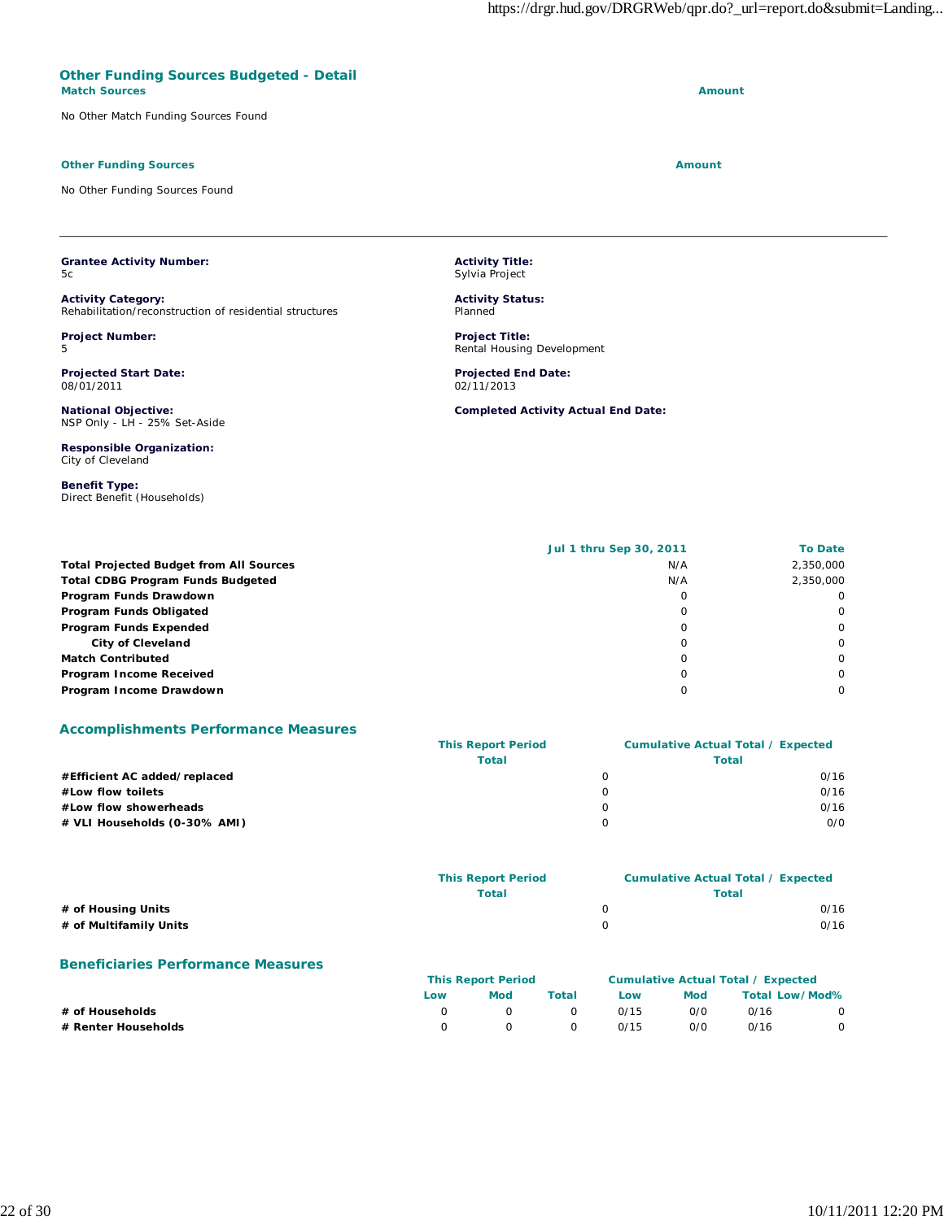# **Other Funding Sources Budgeted - Detail**

Rehabilitation/reconstruction of residential structures

**Match Sources Amount** 

No Other Match Funding Sources Found

#### **Other Funding Sources Amount Amount Amount Amount**

**Grantee Activity Number:**

**Activity Category:**

**Project Number:**

08/01/2011

**Projected Start Date:**

**National Objective:** NSP Only - LH - 25% Set-Aside **Responsible Organization:**

Direct Benefit (Households)

City of Cleveland **Benefit Type:**

5c

5

No Other Funding Sources Found

**Activity Title:** Sylvia Project

**Activity Status:** Planned

**Project Title:** Rental Housing Development

**Projected End Date:** 02/11/2013

**Completed Activity Actual End Date:**

**Jul 1 thru Sep 30, 2011 To Date Total Projected Budget from All Sources** New York 2,350,000 NMA 2,350,000 **Total CDBG Program Funds Budgeted CDBG Program Funds Budgeted CDBG Program ADVA 2,350,000 Program Funds Drawdown** 0 0 **Program Funds Obligated** 0 0 **Program Funds Expended** 0 0  **City of Cleveland** 0 0 **Match Contributed** 0 0 **Program Income Received** 0 0 **Program Income Drawdown** 0 0

#### **Accomplishments Performance Measures**

|                              | <b>This Report Period</b> | <b>Cumulative Actual Total / Expected</b> |
|------------------------------|---------------------------|-------------------------------------------|
|                              | Total                     | Total                                     |
| #Efficient AC added/replaced |                           | 0/16                                      |
| #Low flow toilets            |                           | 0/16                                      |
| #Low flow showerheads        |                           | 0/16                                      |
| # VLI Households (0-30% AMI) |                           | O/O                                       |

|                        | <b>This Report Period</b> | Cumulative Actual Total / Expected |              |  |
|------------------------|---------------------------|------------------------------------|--------------|--|
|                        | <b>Total</b>              |                                    | <b>Total</b> |  |
| # of Housing Units     |                           |                                    | 0/16         |  |
| # of Multifamily Units |                           |                                    | 0/16         |  |
|                        |                           |                                    |              |  |

# **Beneficiaries Performance Measures**

|                     | <b>This Report Period</b> |     |       | <b>Cumulative Actual Total / Expected</b> |            |                       |         |
|---------------------|---------------------------|-----|-------|-------------------------------------------|------------|-----------------------|---------|
|                     | Low                       | Mod | Total | Low                                       | <b>Mod</b> | <b>Total Low/Mod%</b> |         |
| # of Households     |                           |     |       | 0/15                                      | 0/0        | 0/16                  | $\circ$ |
| # Renter Households |                           |     |       | 0/15                                      | 0/0        | 0/16                  |         |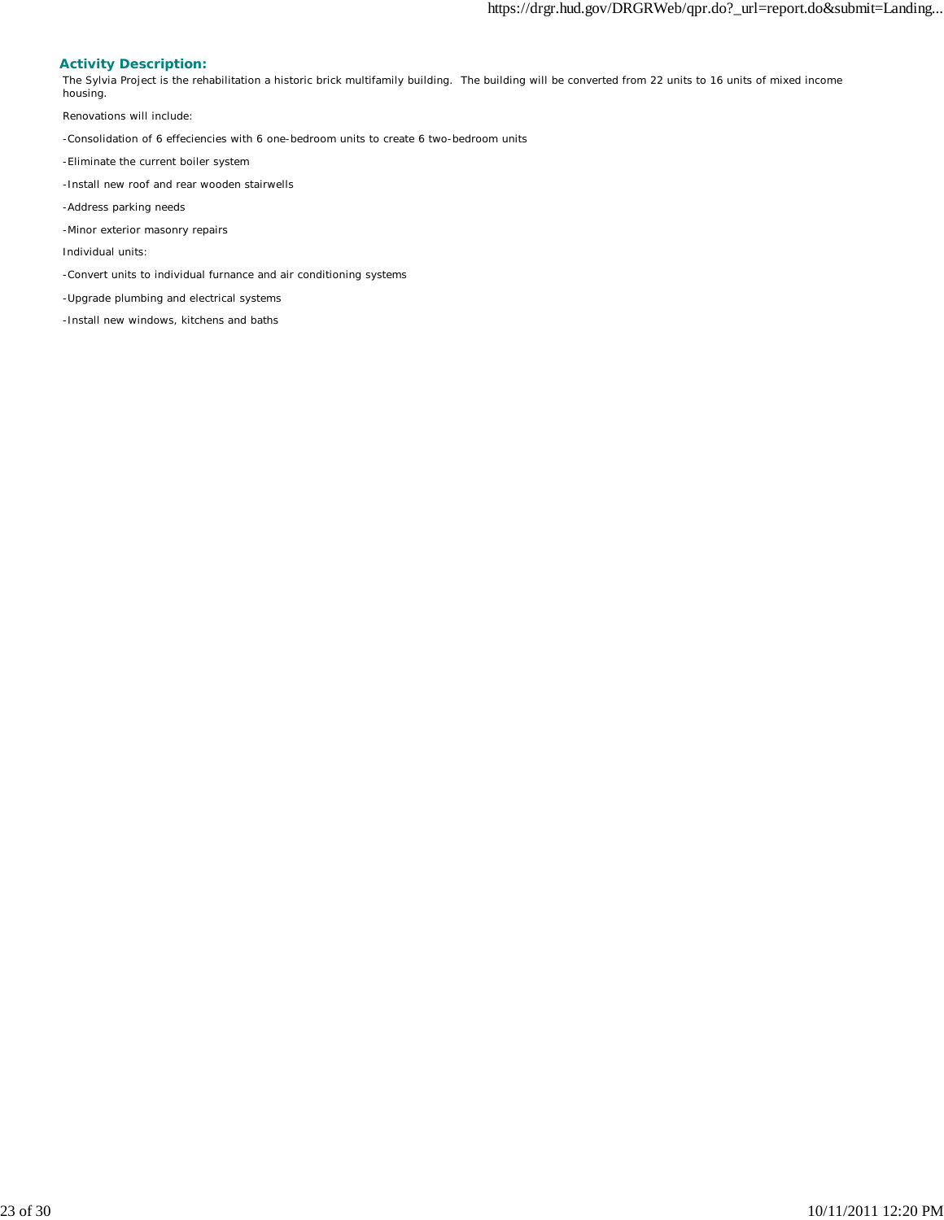# **Activity Description:**

The Sylvia Project is the rehabilitation a historic brick multifamily building. The building will be converted from 22 units to 16 units of mixed income housing.

Renovations will include:

-Consolidation of 6 effeciencies with 6 one-bedroom units to create 6 two-bedroom units

-Eliminate the current boiler system

-Install new roof and rear wooden stairwells

-Address parking needs

-Minor exterior masonry repairs

Individual units:

-Convert units to individual furnance and air conditioning systems

-Upgrade plumbing and electrical systems

-Install new windows, kitchens and baths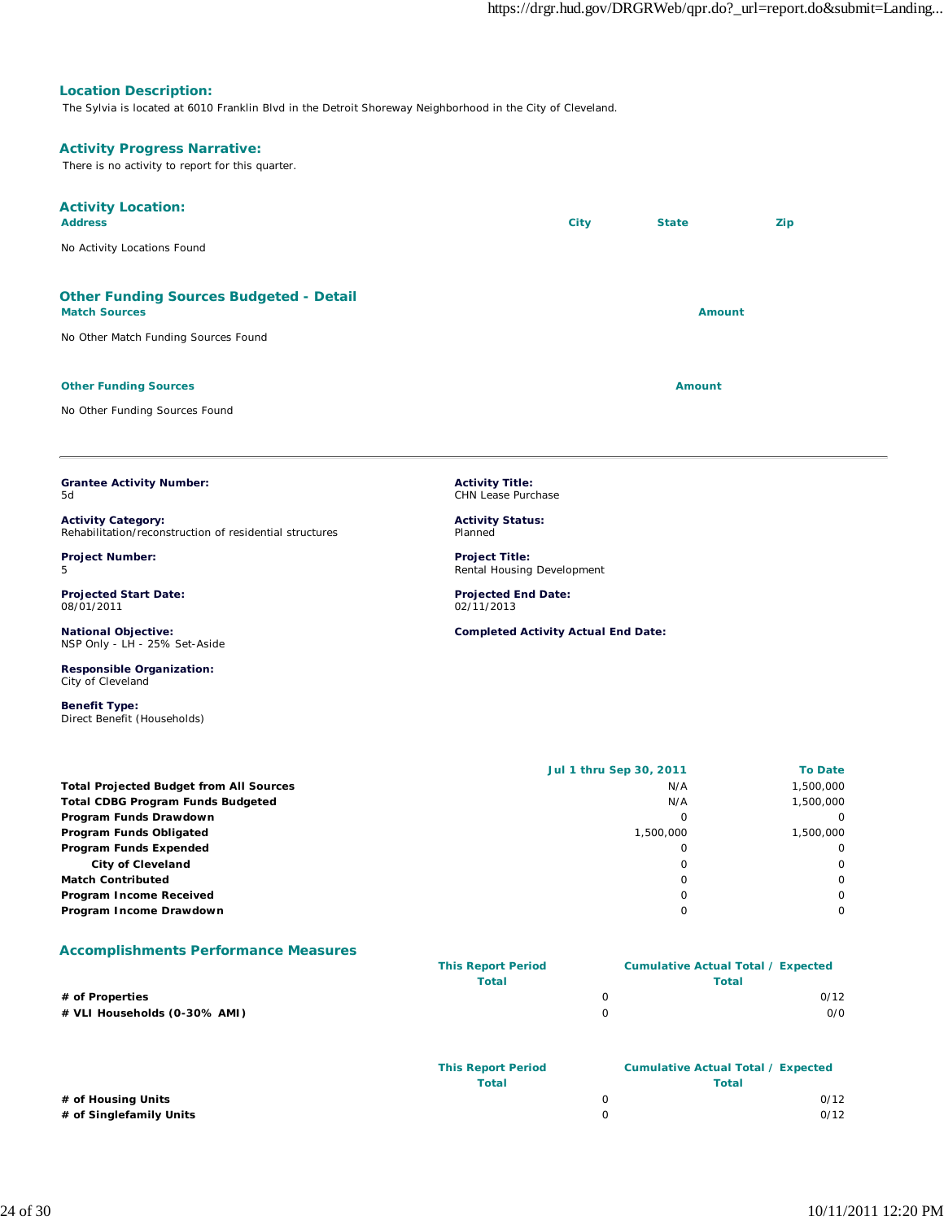# **Location Description:**

The Sylvia is located at 6010 Franklin Blvd in the Detroit Shoreway Neighborhood in the City of Cleveland.

### **Activity Progress Narrative:**

There is no activity to report for this quarter.

| <b>Activity Location:</b><br><b>Address</b>                                          | City                                                | <b>State</b>   | Zip            |
|--------------------------------------------------------------------------------------|-----------------------------------------------------|----------------|----------------|
| No Activity Locations Found                                                          |                                                     |                |                |
| <b>Other Funding Sources Budgeted - Detail</b><br><b>Match Sources</b>               |                                                     | <b>Amount</b>  |                |
| No Other Match Funding Sources Found                                                 |                                                     |                |                |
| <b>Other Funding Sources</b>                                                         |                                                     | <b>Amount</b>  |                |
| No Other Funding Sources Found                                                       |                                                     |                |                |
| <b>Grantee Activity Number:</b><br>5d                                                | <b>Activity Title:</b><br>CHN Lease Purchase        |                |                |
| <b>Activity Category:</b><br>Rehabilitation/reconstruction of residential structures | <b>Activity Status:</b><br>Planned                  |                |                |
| <b>Project Number:</b><br>5                                                          | <b>Project Title:</b><br>Rental Housing Development |                |                |
| <b>Projected Start Date:</b><br>08/01/2011                                           | <b>Projected End Date:</b><br>02/11/2013            |                |                |
| <b>National Objective:</b><br>NSP Only - LH - 25% Set-Aside                          | <b>Completed Activity Actual End Date:</b>          |                |                |
| <b>Responsible Organization:</b><br>City of Cleveland                                |                                                     |                |                |
| <b>Benefit Type:</b><br>Direct Benefit (Households)                                  |                                                     |                |                |
|                                                                                      | Jul 1 thru Sep 30, 2011                             |                | <b>To Date</b> |
| <b>Total Projected Budget from All Sources</b>                                       |                                                     | N/A            | 1,500,000      |
| <b>Total CDBG Program Funds Budgeted</b>                                             |                                                     | N/A            | 1,500,000      |
| Program Funds Drawdown<br>Program Funds Obligated                                    |                                                     | 0<br>1,500,000 | 0<br>1,500,000 |
| Program Funds Expended                                                               |                                                     | 0              | $\Omega$       |
| <b>City of Cleveland</b>                                                             |                                                     | 0              | 0              |
| <b>Match Contributed</b>                                                             |                                                     | $\mathbf 0$    | $\mathsf O$    |
| <b>Program Income Received</b>                                                       |                                                     | $\Omega$       | $\Omega$       |

#### **Accomplishments Performance Measures**

|                              | <b>This Report Period</b> | <b>Cumulative Actual Total / Expected</b> |       |  |
|------------------------------|---------------------------|-------------------------------------------|-------|--|
|                              | Total                     |                                           | Total |  |
| # of Properties              |                           |                                           | 0/12  |  |
| # VLI Households (0-30% AMI) |                           |                                           | 0/0   |  |
|                              |                           |                                           |       |  |

**Program Income Drawdown** 0 0

|                         | <b>This Report Period</b> | <b>Cumulative Actual Total / Expected</b> |
|-------------------------|---------------------------|-------------------------------------------|
|                         | Total                     | <b>Total</b>                              |
| # of Housing Units      |                           | 0/12                                      |
| # of Singlefamily Units |                           | 0/12                                      |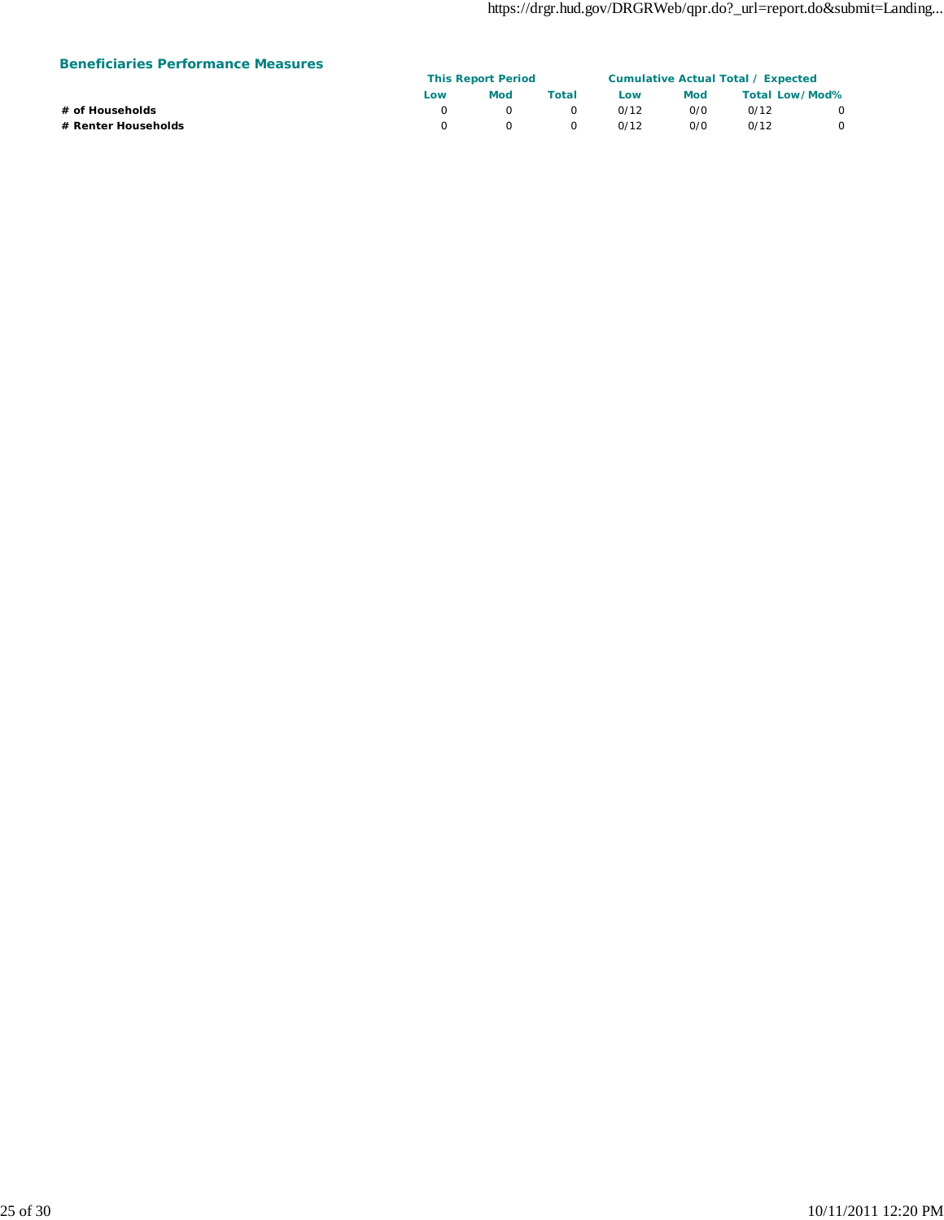| <b>Beneficiaries Performance Measures</b> |  |  |
|-------------------------------------------|--|--|
|-------------------------------------------|--|--|

|                     | <b>This Report Period</b> |     |       | Cumulative Actual Total / Expected |     |                |  |
|---------------------|---------------------------|-----|-------|------------------------------------|-----|----------------|--|
|                     | LOW                       | Mod | Total | Low                                | Mod | Total Low/Mod% |  |
| # of Households     |                           |     |       | 0/12                               | 0/0 | 0/12           |  |
| # Renter Households |                           |     |       | 0/12                               | 0/0 | 0/12           |  |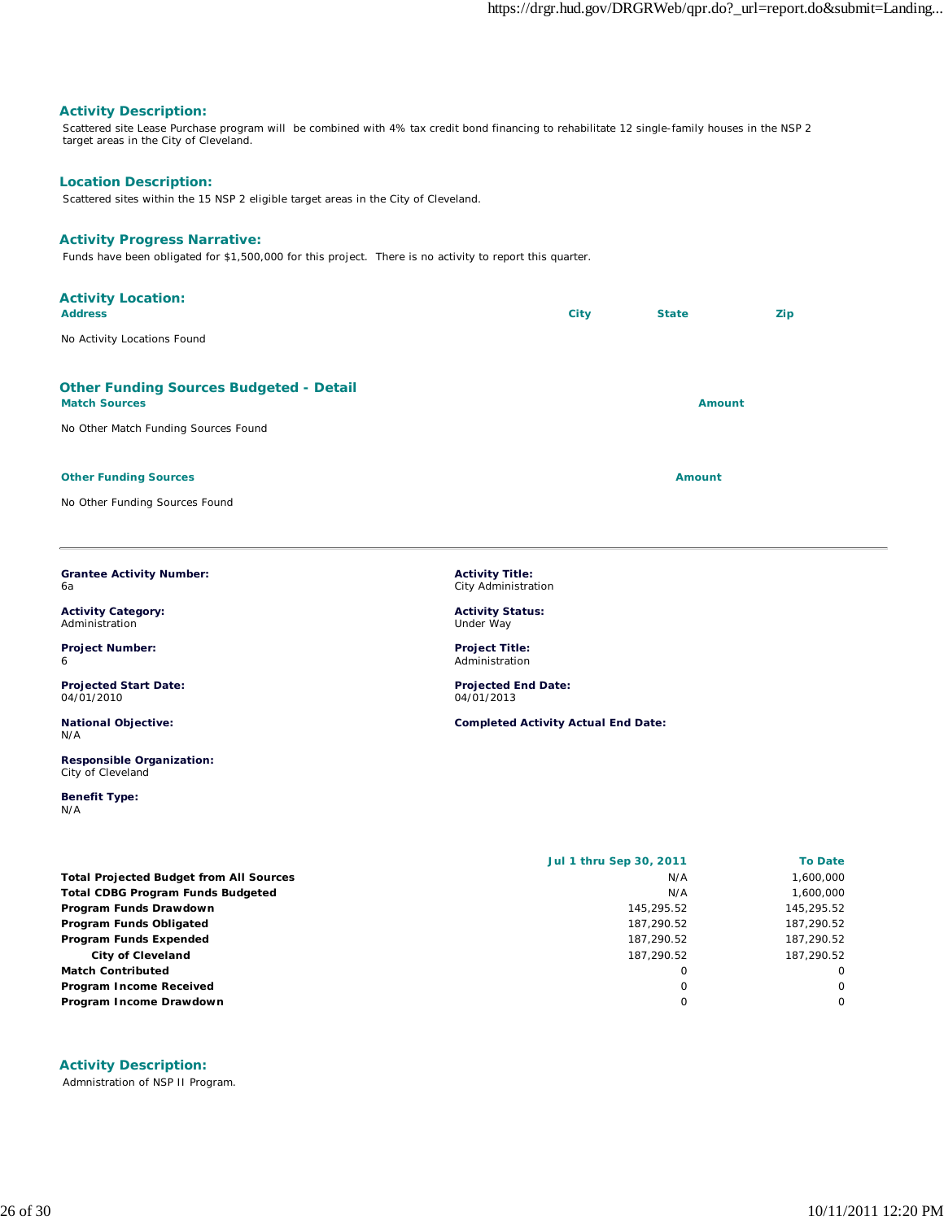## **Activity Description:**

Scattered site Lease Purchase program will be combined with 4% tax credit bond financing to rehabilitate 12 single-family houses in the NSP 2 target areas in the City of Cleveland.

#### **Location Description:**

Scattered sites within the 15 NSP 2 eligible target areas in the City of Cleveland.

#### **Activity Progress Narrative:**

Funds have been obligated for \$1,500,000 for this project. There is no activity to report this quarter.

| <b>Activity Location:</b><br><b>Address</b>                            | City | <b>State</b>  | Zip |
|------------------------------------------------------------------------|------|---------------|-----|
| No Activity Locations Found                                            |      |               |     |
| <b>Other Funding Sources Budgeted - Detail</b><br><b>Match Sources</b> |      | <b>Amount</b> |     |
| No Other Match Funding Sources Found                                   |      |               |     |
| <b>Other Funding Sources</b>                                           |      | <b>Amount</b> |     |
| No Other Funding Sources Found                                         |      |               |     |

|    | <b>Grantee Activity Number:</b> |
|----|---------------------------------|
| 6а |                                 |

**Activity Category:** Administration

**Project Number:** 6

**Projected Start Date:** 04/01/2010

**National Objective:** N/A

**Responsible Organization:** City of Cleveland

**Benefit Type:** N/A

**Activity Title:** City Administration

**Activity Status:** Under Way

**Project Title:** Administration

**Projected End Date:** 04/01/2013

**Completed Activity Actual End Date:**

|                                                | Jul 1 thru Sep 30, 2011 | <b>To Date</b> |
|------------------------------------------------|-------------------------|----------------|
| <b>Total Projected Budget from All Sources</b> | N/A                     | 1,600,000      |
| <b>Total CDBG Program Funds Budgeted</b>       | N/A                     | 1,600,000      |
| Program Funds Drawdown                         | 145.295.52              | 145,295.52     |
| Program Funds Obligated                        | 187.290.52              | 187.290.52     |
| Program Funds Expended                         | 187.290.52              | 187,290.52     |
| <b>City of Cleveland</b>                       | 187.290.52              | 187.290.52     |
| <b>Match Contributed</b>                       | 0                       | $\Omega$       |
| Program Income Received                        | 0                       | $\Omega$       |
| Program Income Drawdown                        | O                       | $\Omega$       |

#### **Activity Description:**

Admnistration of NSP II Program.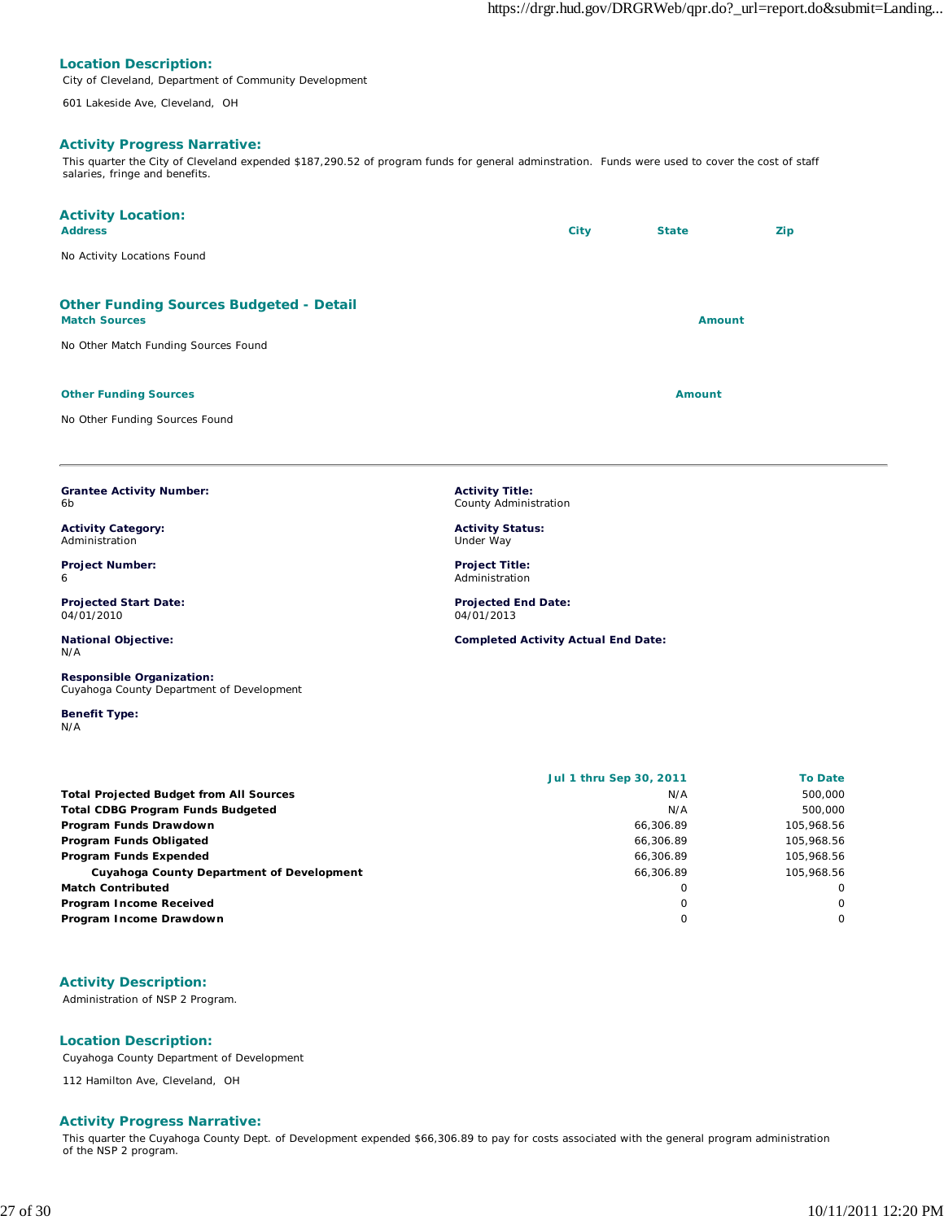# **Location Description:**

City of Cleveland, Department of Community Development

601 Lakeside Ave, Cleveland, OH

# **Activity Progress Narrative:**

This quarter the City of Cleveland expended \$187,290.52 of program funds for general adminstration. Funds were used to cover the cost of staff salaries, fringe and benefits.

| <b>Activity Location:</b><br><b>Address</b>                                   | City                                            | <b>State</b>            | Zip            |
|-------------------------------------------------------------------------------|-------------------------------------------------|-------------------------|----------------|
| No Activity Locations Found                                                   |                                                 |                         |                |
| <b>Other Funding Sources Budgeted - Detail</b><br><b>Match Sources</b>        |                                                 | <b>Amount</b>           |                |
| No Other Match Funding Sources Found                                          |                                                 |                         |                |
| <b>Other Funding Sources</b>                                                  |                                                 | <b>Amount</b>           |                |
| No Other Funding Sources Found                                                |                                                 |                         |                |
| <b>Grantee Activity Number:</b><br>6b                                         | <b>Activity Title:</b><br>County Administration |                         |                |
| <b>Activity Category:</b><br>Administration                                   | <b>Activity Status:</b><br>Under Way            |                         |                |
| <b>Project Number:</b><br>6                                                   | <b>Project Title:</b><br>Administration         |                         |                |
| <b>Projected Start Date:</b><br>04/01/2010                                    | <b>Projected End Date:</b><br>04/01/2013        |                         |                |
| <b>National Objective:</b><br>N/A                                             | <b>Completed Activity Actual End Date:</b>      |                         |                |
| <b>Responsible Organization:</b><br>Cuyahoga County Department of Development |                                                 |                         |                |
| <b>Benefit Type:</b><br>N/A                                                   |                                                 |                         |                |
|                                                                               |                                                 | Jul 1 thru Sep 30, 2011 | <b>To Date</b> |
| <b>Total Projected Budget from All Sources</b>                                |                                                 | N/A                     | 500,000        |
| <b>Total CDBG Program Funds Budgeted</b>                                      |                                                 | N/A                     | 500,000        |
| Program Funds Drawdown                                                        |                                                 | 66,306.89               | 105,968.56     |
| Program Funds Obligated                                                       |                                                 | 66,306.89               | 105,968.56     |
| Program Funds Expended                                                        |                                                 | 66,306.89               | 105,968.56     |

**Cuyahoga County Department of Development** 66,306.89 105,968.56 **Match Contributed** 0 0 **Program Income Received** 0 0 **Program Income Drawdown** 0 0

# **Activity Description:**

Administration of NSP 2 Program.

# **Location Description:**

Cuyahoga County Department of Development

112 Hamilton Ave, Cleveland, OH

# **Activity Progress Narrative:**

This quarter the Cuyahoga County Dept. of Development expended \$66,306.89 to pay for costs associated with the general program administration of the NSP 2 program.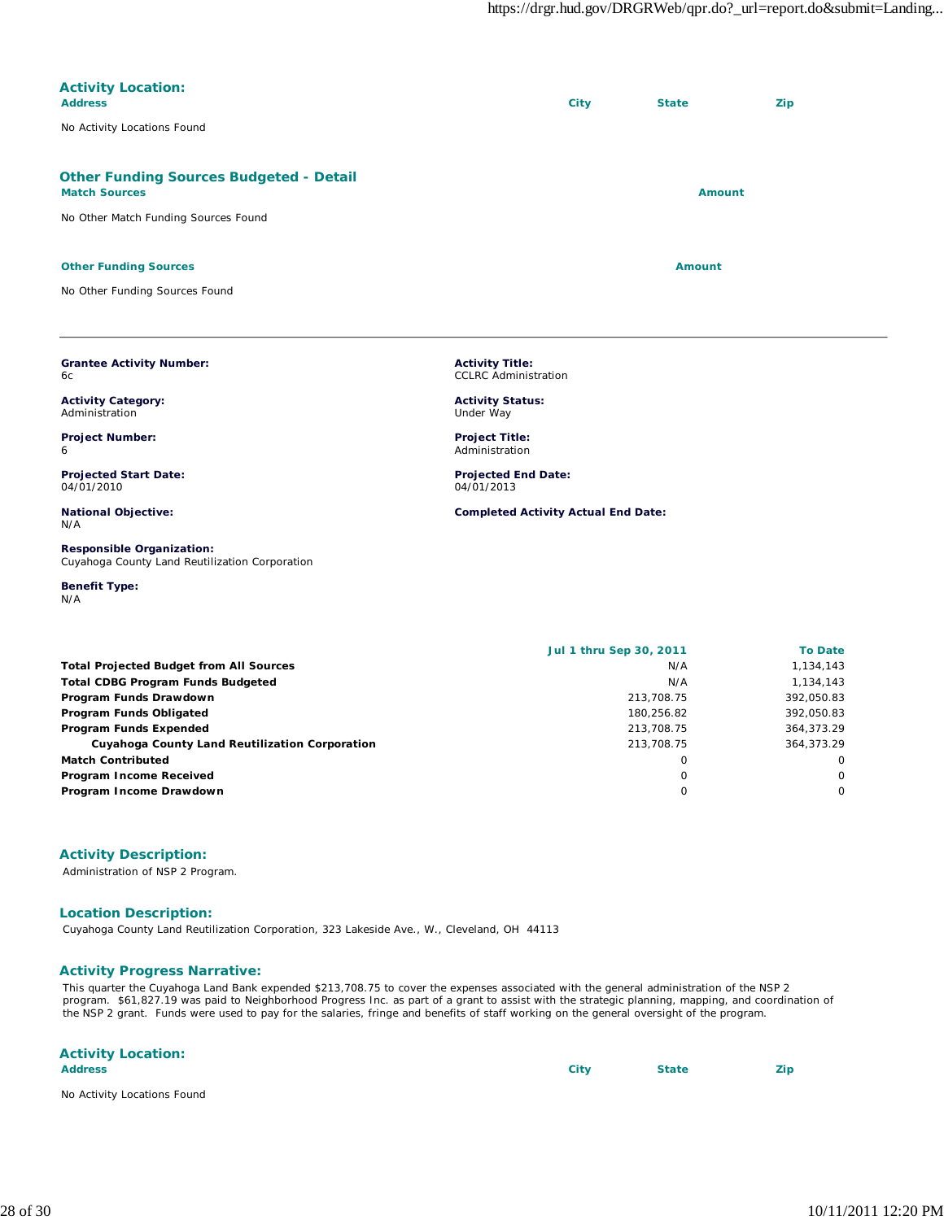| <b>Activity Location:</b><br><b>Address</b>                            | City          | <b>State</b> | Zip |  |
|------------------------------------------------------------------------|---------------|--------------|-----|--|
| No Activity Locations Found                                            |               |              |     |  |
| <b>Other Funding Sources Budgeted - Detail</b><br><b>Match Sources</b> | <b>Amount</b> |              |     |  |
| No Other Match Funding Sources Found                                   |               |              |     |  |
| <b>Other Funding Sources</b>                                           | Amount        |              |     |  |
| No Other Funding Sources Found                                         |               |              |     |  |

**Activity Title:** CCLRC Administration **Activity Status:** Under Way **Project Title:** Administration

**Projected End Date:** 04/01/2013

**Completed Activity Actual End Date:**

|    | <b>Grantee Activity Number:</b> |
|----|---------------------------------|
| 6c |                                 |

**Activity Category:** Administration

**Project Number:** 6

**Projected Start Date:** 04/01/2010

**National Objective:** N/A

**Responsible Organization:** Cuyahoga County Land Reutilization Corporation

**Benefit Type:** N/A

|                                                | Jul 1 thru Sep 30, 2011 | <b>To Date</b> |
|------------------------------------------------|-------------------------|----------------|
| <b>Total Projected Budget from All Sources</b> | N/A                     | 1,134,143      |
| <b>Total CDBG Program Funds Budgeted</b>       | N/A                     | 1,134,143      |
| Program Funds Drawdown                         | 213.708.75              | 392,050.83     |
| Program Funds Obligated                        | 180.256.82              | 392,050.83     |
| Program Funds Expended                         | 213.708.75              | 364.373.29     |
| Cuyahoga County Land Reutilization Corporation | 213.708.75              | 364.373.29     |
| <b>Match Contributed</b>                       | $\Omega$                | $\Omega$       |
| Program Income Received                        | O                       | $\Omega$       |
| Program Income Drawdown                        | 0                       | $\Omega$       |

#### **Activity Description:**

Administration of NSP 2 Program.

#### **Location Description:**

Cuyahoga County Land Reutilization Corporation, 323 Lakeside Ave., W., Cleveland, OH 44113

#### **Activity Progress Narrative:**

This quarter the Cuyahoga Land Bank expended \$213,708.75 to cover the expenses associated with the general administration of the NSP 2 program. \$61,827.19 was paid to Neighborhood Progress Inc. as part of a grant to assist with the strategic planning, mapping, and coordination of the NSP 2 grant. Funds were used to pay for the salaries, fringe and benefits of staff working on the general oversight of the program.

| <b>Activity Location:</b>   |      |              |     |
|-----------------------------|------|--------------|-----|
| <b>Address</b>              | City | <b>State</b> | Zip |
| No Activity Locations Found |      |              |     |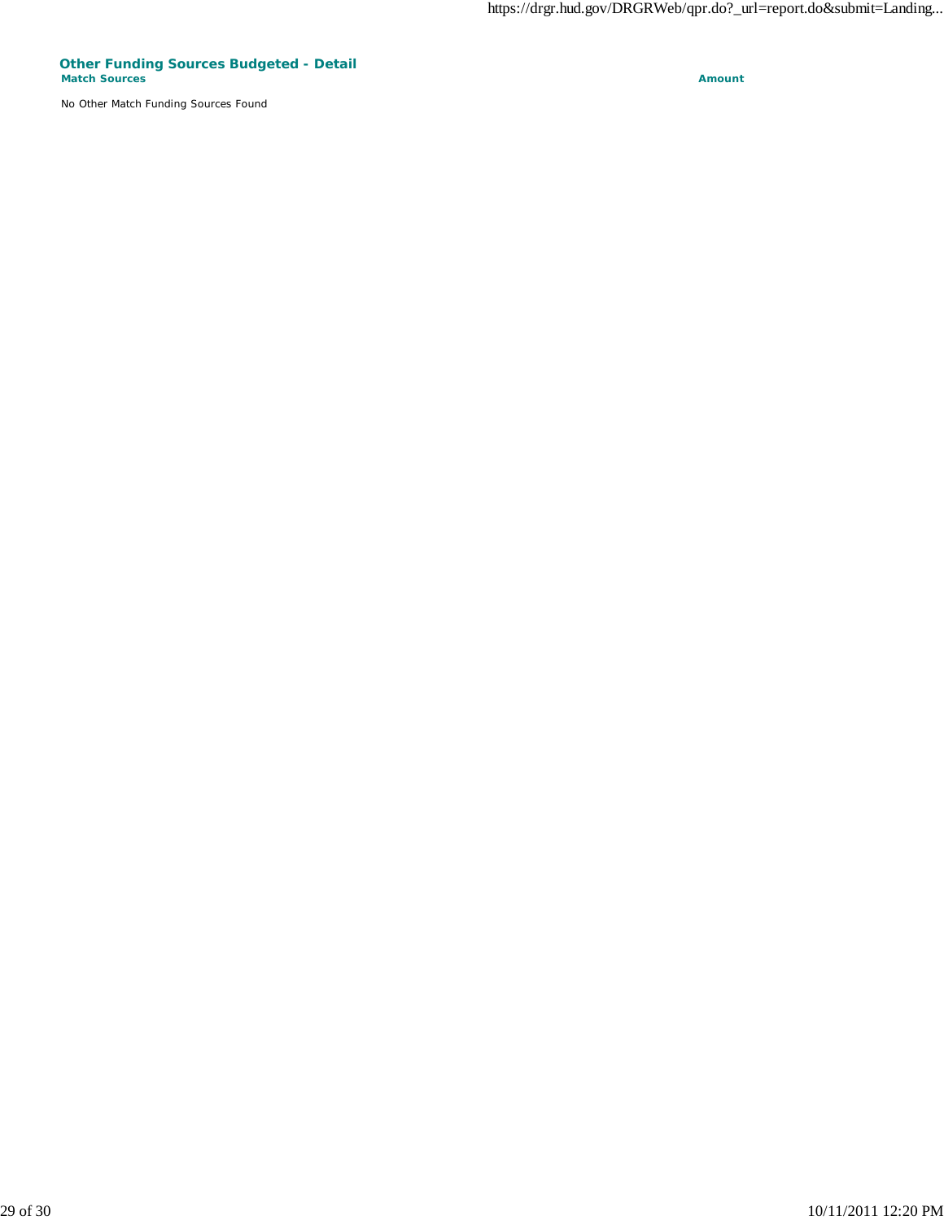#### **Other Funding Sources Budgeted - Detail Match Sources Amount**

No Other Match Funding Sources Found